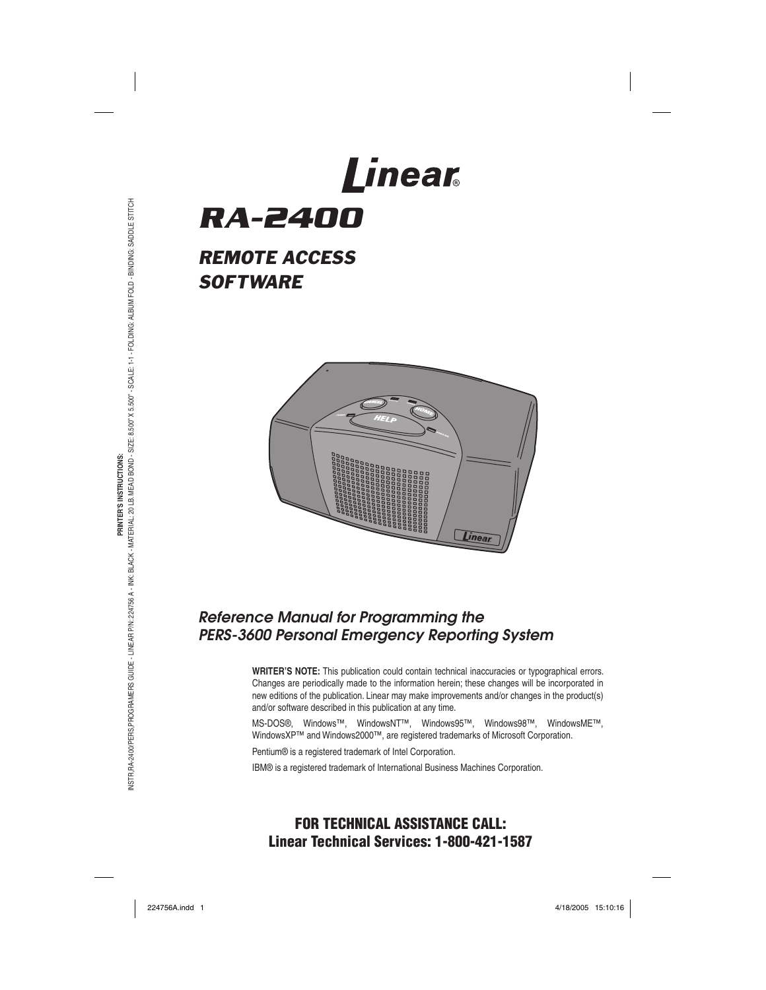# Linear *RA-2400*

# *REMOTE ACCESS SOFTWARE*



# *Reference Manual for Programming the PERS-3600 Personal Emergency Reporting System*

**WRITER'S NOTE:** This publication could contain technical inaccuracies or typographical errors. Changes are periodically made to the information herein; these changes will be incorporated in new editions of the publication. Linear may make improvements and/or changes in the product(s) and/or software described in this publication at any time.

MS-DOS®, Windows™, WindowsNT™, Windows95™, Windows98™, WindowsME™, WindowsXP™ and Windows2000™, are registered trademarks of Microsoft Corporation.

Pentium® is a registered trademark of Intel Corporation.

IBM® is a registered trademark of International Business Machines Corporation.

# **FOR TECHNICAL ASSISTANCE CALL: Linear Technical Services: 1-800-421-1587**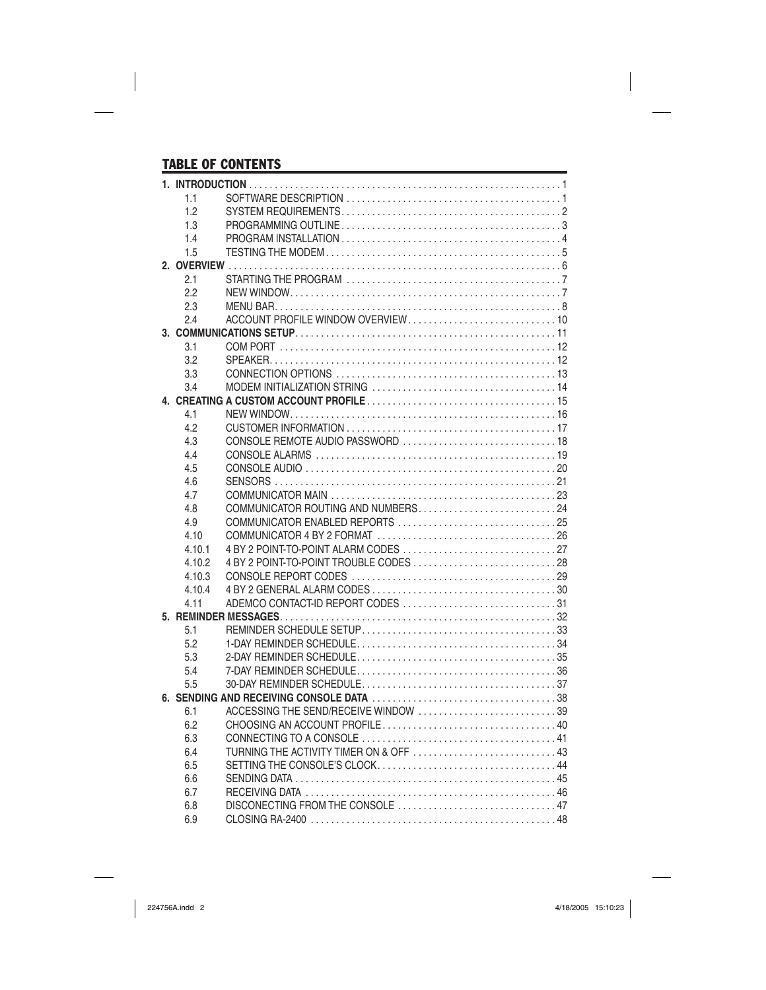# TABLE OF CONTENTS

| 1.1            |                                                                                                 |  |
|----------------|-------------------------------------------------------------------------------------------------|--|
| 1.2            |                                                                                                 |  |
| 1.3            |                                                                                                 |  |
| 1.4            |                                                                                                 |  |
| 1.5            |                                                                                                 |  |
|                |                                                                                                 |  |
| 2.1            |                                                                                                 |  |
| 2.2            |                                                                                                 |  |
| 2.3            |                                                                                                 |  |
| 2.4            |                                                                                                 |  |
|                |                                                                                                 |  |
| 3.1            |                                                                                                 |  |
| 3.2            |                                                                                                 |  |
| 3.3            |                                                                                                 |  |
| 3.4            |                                                                                                 |  |
|                |                                                                                                 |  |
| 4.1            |                                                                                                 |  |
| 4.2            |                                                                                                 |  |
| 4.3            |                                                                                                 |  |
| 4.4            |                                                                                                 |  |
| 4.5            |                                                                                                 |  |
| 4.6            |                                                                                                 |  |
| 4.7            |                                                                                                 |  |
| 4.8            | COMMUNICATOR ROUTING AND NUMBERS24                                                              |  |
| 4.9            |                                                                                                 |  |
| 4.10           | COMMUNICATOR 4 BY 2 FORMAT $\ldots, \ldots, \ldots, \ldots, \ldots, \ldots, \ldots, \ldots, 26$ |  |
| 4.10.1         |                                                                                                 |  |
| 4.10.2         |                                                                                                 |  |
| 4.10.3         |                                                                                                 |  |
| 4.10.4<br>4.11 | ADEMCO CONTACT-ID REPORT CODES 31                                                               |  |
|                |                                                                                                 |  |
| 5.1            |                                                                                                 |  |
| 5.2            |                                                                                                 |  |
| 5.3            |                                                                                                 |  |
| 5.4            |                                                                                                 |  |
| 5.5            |                                                                                                 |  |
|                |                                                                                                 |  |
| 6.1            | ACCESSING THE SEND/RECEIVE WINDOW 39                                                            |  |
| 6.2            |                                                                                                 |  |
| 6.3            |                                                                                                 |  |
| 6.4            |                                                                                                 |  |
| 6.5            |                                                                                                 |  |
| 6.6            |                                                                                                 |  |
| 6.7            |                                                                                                 |  |
| 6.8            | DISCONECTING FROM THE CONSOLE  47                                                               |  |
| 6.9            |                                                                                                 |  |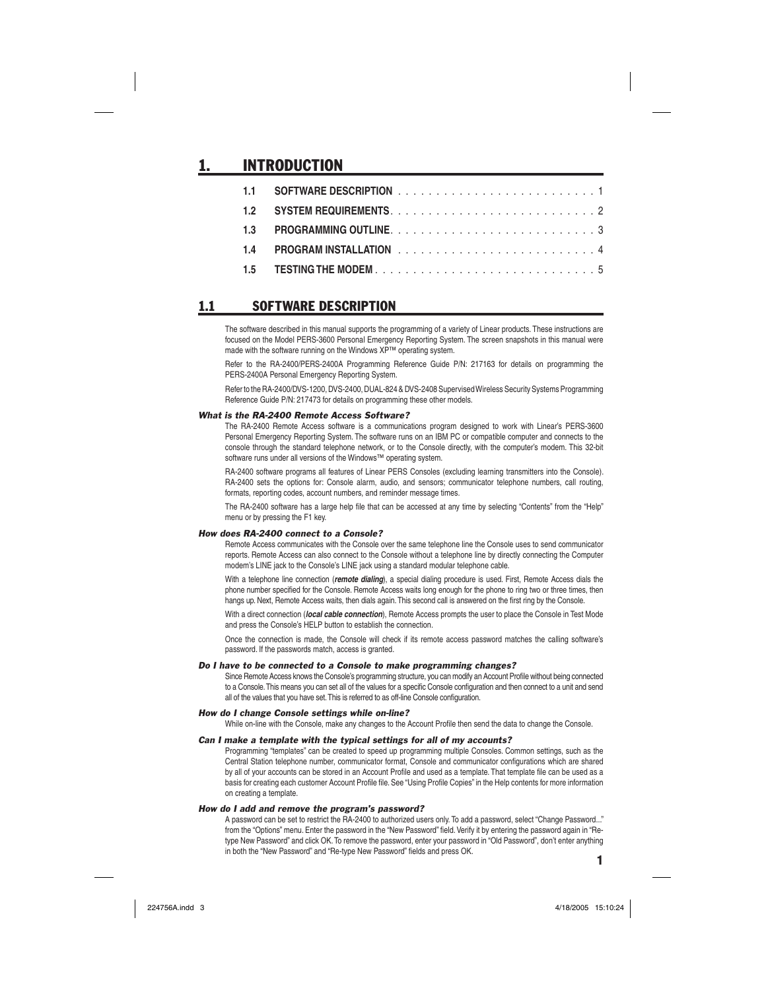# **INTRODUCTION**

### 1.1 SOFTWARE DESCRIPTION

The software described in this manual supports the programming of a variety of Linear products. These instructions are focused on the Model PERS-3600 Personal Emergency Reporting System. The screen snapshots in this manual were made with the software running on the Windows XP™ operating system.

Refer to the RA-2400/PERS-2400A Programming Reference Guide P/N: 217163 for details on programming the PERS-2400A Personal Emergency Reporting System.

Refer to the RA-2400/DVS-1200, DVS-2400, DUAL-824 & DVS-2408 Supervised Wireless Security Systems Programming Reference Guide P/N: 217473 for details on programming these other models.

#### *What is the RA-2400 Remote Access Software?*

The RA-2400 Remote Access software is a communications program designed to work with Linear's PERS-3600 Personal Emergency Reporting System. The software runs on an IBM PC or compatible computer and connects to the console through the standard telephone network, or to the Console directly, with the computer's modem. This 32-bit software runs under all versions of the Windows™ operating system.

RA-2400 software programs all features of Linear PERS Consoles (excluding learning transmitters into the Console). RA-2400 sets the options for: Console alarm, audio, and sensors; communicator telephone numbers, call routing, formats, reporting codes, account numbers, and reminder message times.

The RA-2400 software has a large help file that can be accessed at any time by selecting "Contents" from the "Help" menu or by pressing the F1 key.

#### *How does RA-2400 connect to a Console?*

Remote Access communicates with the Console over the same telephone line the Console uses to send communicator reports. Remote Access can also connect to the Console without a telephone line by directly connecting the Computer modem's LINE jack to the Console's LINE jack using a standard modular telephone cable.

With a telephone line connection (*remote dialing*), a special dialing procedure is used. First, Remote Access dials the phone number specified for the Console. Remote Access waits long enough for the phone to ring two or three times, then hangs up. Next, Remote Access waits, then dials again. This second call is answered on the first ring by the Console.

With a direct connection (*local cable connection*), Remote Access prompts the user to place the Console in Test Mode and press the Console's HELP button to establish the connection.

Once the connection is made, the Console will check if its remote access password matches the calling software's password. If the passwords match, access is granted.

#### *Do I have to be connected to a Console to make programming changes?*

Since Remote Access knows the Console's programming structure, you can modify an Account Profile without being connected to a Console. This means you can set all of the values for a specific Console configuration and then connect to a unit and send all of the values that you have set. This is referred to as off-line Console configuration.

#### *How do I change Console settings while on-line?*

While on-line with the Console, make any changes to the Account Profile then send the data to change the Console.

#### *Can I make a template with the typical settings for all of my accounts?*

Programming "templates" can be created to speed up programming multiple Consoles. Common settings, such as the Central Station telephone number, communicator format, Console and communicator configurations which are shared by all of your accounts can be stored in an Account Profile and used as a template. That template file can be used as a basis for creating each customer Account Profile file. See "Using Profile Copies" in the Help contents for more information on creating a template.

#### *How do I add and remove the program's password?*

A password can be set to restrict the RA-2400 to authorized users only. To add a password, select "Change Password..." from the "Options" menu. Enter the password in the "New Password" field. Verify it by entering the password again in "Retype New Password" and click OK. To remove the password, enter your password in "Old Password", don't enter anything in both the "New Password" and "Re-type New Password" fields and press OK.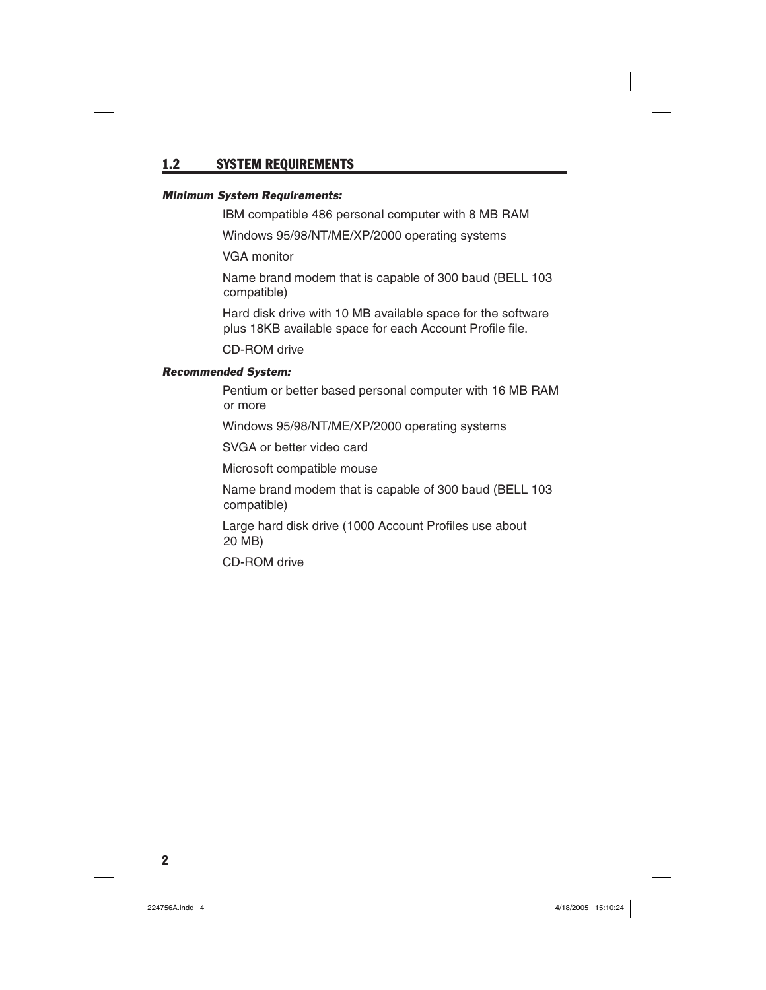### 1.2 SYSTEM REQUIREMENTS

#### *Minimum System Requirements:*

IBM compatible 486 personal computer with 8 MB RAM

Windows 95/98/NT/ME/XP/2000 operating systems

VGA monitor

 Name brand modem that is capable of 300 baud (BELL 103 compatible)

 Hard disk drive with 10 MB available space for the software plus 18KB available space for each Account Profile file.

CD-ROM drive

#### *Recommended System:*

 Pentium or better based personal computer with 16 MB RAM or more

Windows 95/98/NT/ME/XP/2000 operating systems

SVGA or better video card

Microsoft compatible mouse

 Name brand modem that is capable of 300 baud (BELL 103 compatible)

Large hard disk drive (1000 Account Profiles use about 20 MB)

CD-ROM drive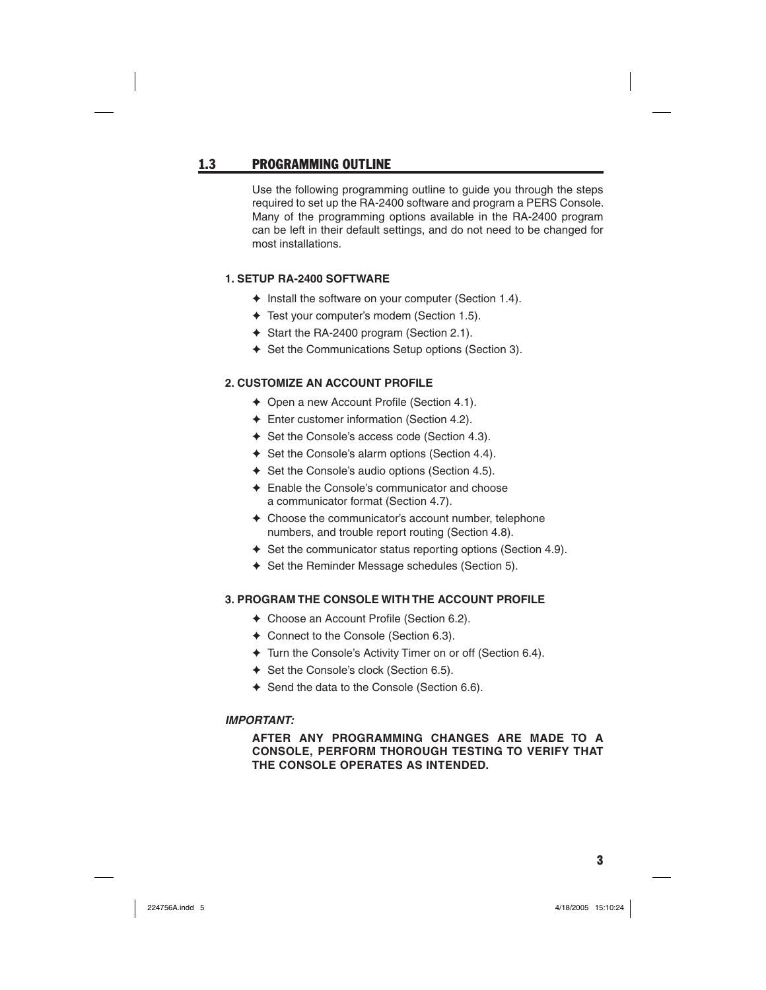### 1.3 PROGRAMMING OUTLINE

Use the following programming outline to guide you through the steps required to set up the RA-2400 software and program a PERS Console. Many of the programming options available in the RA-2400 program can be left in their default settings, and do not need to be changed for most installations.

### **1. SETUP RA-2400 SOFTWARE**

- ✦ Install the software on your computer (Section 1.4).
- ✦ Test your computer's modem (Section 1.5).
- ✦ Start the RA-2400 program (Section 2.1).
- ✦ Set the Communications Setup options (Section 3).

### **2. CUSTOMIZE AN ACCOUNT PROFILE**

- $\triangleleft$  Open a new Account Profile (Section 4.1).
- ✦ Enter customer information (Section 4.2).
- ✦ Set the Console's access code (Section 4.3).
- ✦ Set the Console's alarm options (Section 4.4).
- ✦ Set the Console's audio options (Section 4.5).
- ✦ Enable the Console's communicator and choose a communicator format (Section 4.7).
- ✦ Choose the communicator's account number, telephone numbers, and trouble report routing (Section 4.8).
- ✦ Set the communicator status reporting options (Section 4.9).
- ✦ Set the Reminder Message schedules (Section 5).

### **3. PROGRAM THE CONSOLE WITH THE ACCOUNT PROFILE**

- $\triangleleft$  Choose an Account Profile (Section 6.2).
- ✦ Connect to the Console (Section 6.3).
- ✦ Turn the Console's Activity Timer on or off (Section 6.4).
- ✦ Set the Console's clock (Section 6.5).
- ✦ Send the data to the Console (Section 6.6).

#### *IMPORTANT:*

### **AFTER ANY PROGRAMMING CHANGES ARE MADE TO A CONSOLE, PERFORM THOROUGH TESTING TO VERIFY THAT THE CONSOLE OPERATES AS INTENDED.**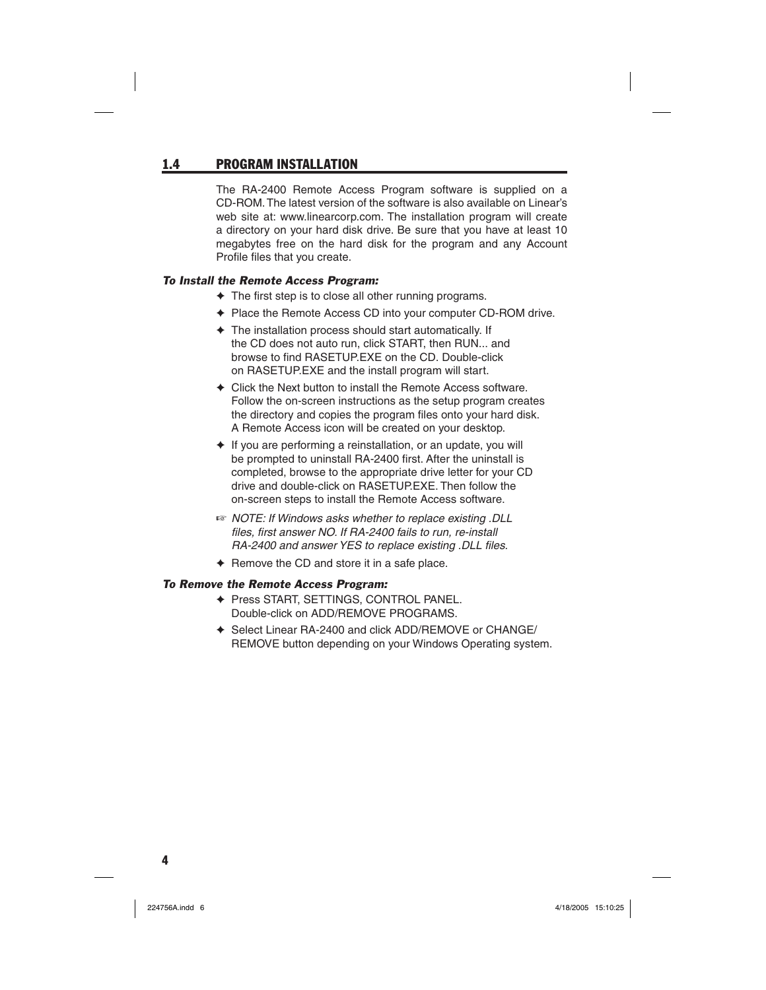### 1.4 PROGRAM INSTALLATION

The RA-2400 Remote Access Program software is supplied on a CD-ROM. The latest version of the software is also available on Linear's web site at: www.linearcorp.com. The installation program will create a directory on your hard disk drive. Be sure that you have at least 10 megabytes free on the hard disk for the program and any Account Profile files that you create.

### *To Install the Remote Access Program:*

- $\triangle$  The first step is to close all other running programs.
- ✦ Place the Remote Access CD into your computer CD-ROM drive.
- ✦ The installation process should start automatically. If the CD does not auto run, click START, then RUN... and browse to find RASETUP.EXE on the CD. Double-click on RASETUP.EXE and the install program will start.
- ✦ Click the Next button to install the Remote Access software. Follow the on-screen instructions as the setup program creates the directory and copies the program files onto your hard disk. A Remote Access icon will be created on your desktop.
- ✦ If you are performing a reinstallation, or an update, you will be prompted to uninstall RA-2400 first. After the uninstall is completed, browse to the appropriate drive letter for your CD drive and double-click on RASETUP.EXE. Then follow the on-screen steps to install the Remote Access software.
- ☞ *NOTE: If Windows asks whether to replace existing .DLL*  files, first answer NO. If RA-2400 fails to run, re-install *RA-2400 and answer YES to replace existing .DLL files.*
- ✦ Remove the CD and store it in a safe place.

#### *To Remove the Remote Access Program:*

- ✦ Press START, SETTINGS, CONTROL PANEL. Double-click on ADD/REMOVE PROGRAMS.
- ✦ Select Linear RA-2400 and click ADD/REMOVE or CHANGE/ REMOVE button depending on your Windows Operating system.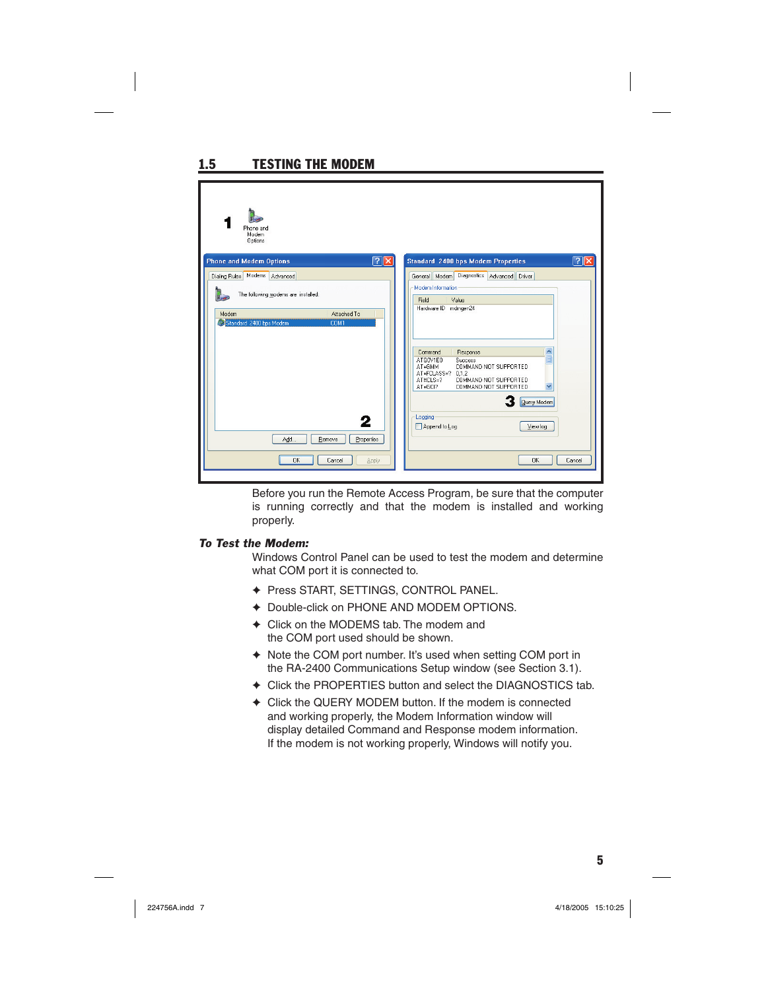| Phone and<br>Modem<br>Options                                                                  |                                                                                                                                                                                                                                       |        |
|------------------------------------------------------------------------------------------------|---------------------------------------------------------------------------------------------------------------------------------------------------------------------------------------------------------------------------------------|--------|
| 2  x  <br><b>Phone and Modem Options</b>                                                       | <b>Standard 2400 bps Modem Properties</b>                                                                                                                                                                                             | ? x    |
| Dialing Rules Modems Advanced                                                                  | Diagnostics Advanced Driver<br>General Modem                                                                                                                                                                                          |        |
| The following modems are installed:<br>Attached To<br>Modem<br>Standard 2400 bps Modem<br>COM1 | Modem Information<br>Field<br>Value<br>Hardware ID mdmgen24                                                                                                                                                                           |        |
|                                                                                                | $\frac{1}{2}$<br>Command<br>Response<br>ATO0V1E0<br>Success<br>COMMAND NOT SUPPORTED<br>AT+GMM<br>AT+FCLASS=?<br>0.1.2<br>AT#CLS=?<br>COMMAND NOT SUPPORTED<br>$\checkmark$<br>AT+GCI?<br>COMMAND NOT SUPPORTED<br><b>Query Modem</b> |        |
| 2<br>Add<br>Remove<br>Properties<br>OK<br>Cancel<br>Apply                                      | Logging<br>Append to Log<br>View log<br><b>OK</b>                                                                                                                                                                                     | Cancel |

Before you run the Remote Access Program, be sure that the computer is running correctly and that the modem is installed and working properly.

#### *To Test the Modem:*

1.5 TESTING THE MODEM

Windows Control Panel can be used to test the modem and determine what COM port it is connected to.

- ✦ Press START, SETTINGS, CONTROL PANEL.
- ✦ Double-click on PHONE AND MODEM OPTIONS.
- ✦ Click on the MODEMS tab. The modem and the COM port used should be shown.
- ✦ Note the COM port number. It's used when setting COM port in the RA-2400 Communications Setup window (see Section 3.1).
- ✦ Click the PROPERTIES button and select the DIAGNOSTICS tab.
- ✦ Click the QUERY MODEM button. If the modem is connected and working properly, the Modem Information window will display detailed Command and Response modem information. If the modem is not working properly, Windows will notify you.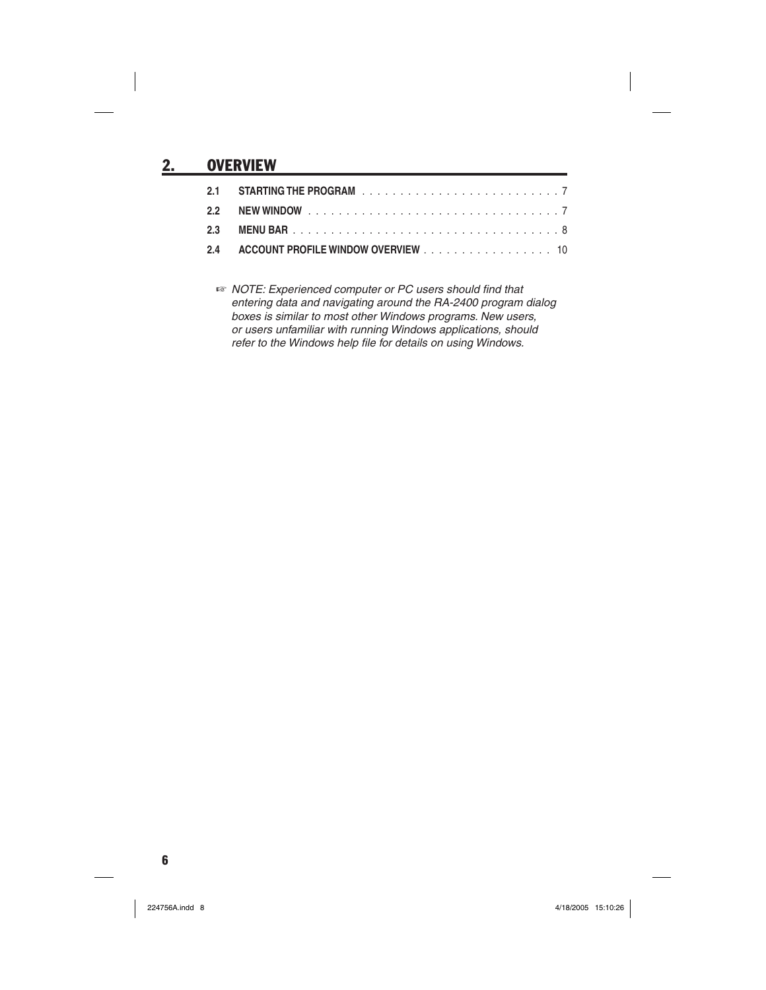# 2. OVERVIEW

| 2.4 ACCOUNT PROFILE WINDOW OVERVIEW 10 |  |
|----------------------------------------|--|

*WE NOTE: Experienced computer or PC users should find that entering data and navigating around the RA-2400 program dialog boxes is similar to most other Windows programs. New users, or users unfamiliar with running Windows applications, should*  refer to the Windows help file for details on using Windows.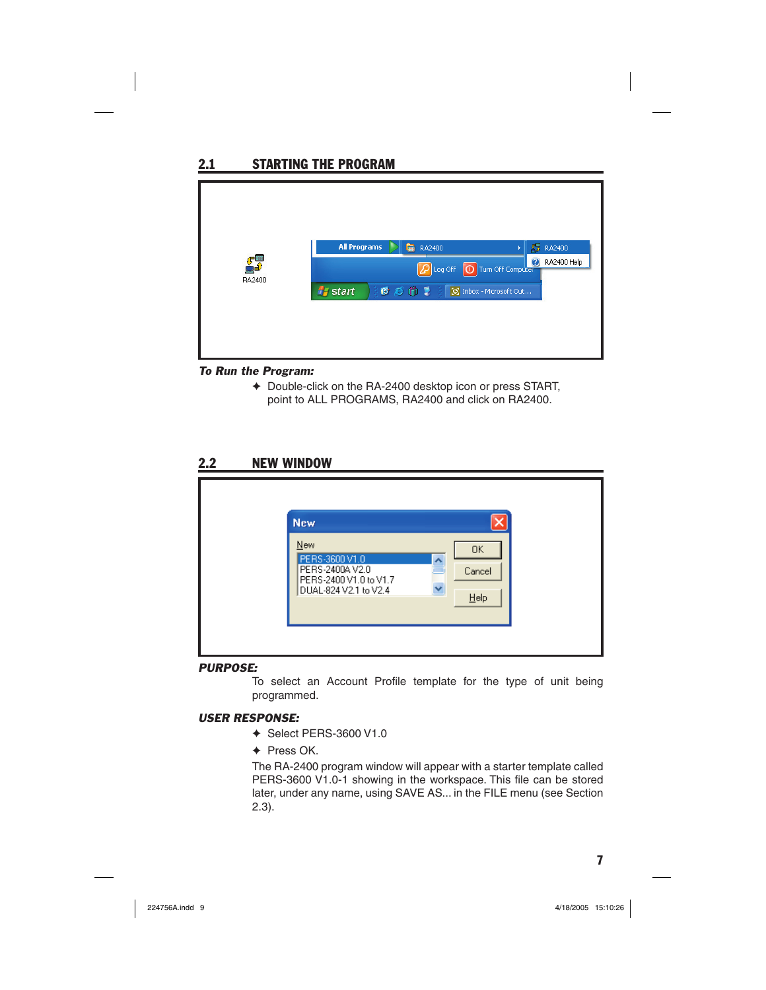

#### *To Run the Program:*

✦ Double-click on the RA-2400 desktop icon or press START, point to ALL PROGRAMS, RA2400 and click on RA2400.

### 2.2 NEW WINDOW

| <b>New</b><br>OK.<br>PERS-3600 V1.0<br>$\overline{\phantom{a}}$<br>PERS-2400AV2.0<br>═<br>Cancel |
|--------------------------------------------------------------------------------------------------|
| PERS-2400 V1.0 to V1.7<br>DUAL-824 V2.1 to V2.4<br>$He$ lp                                       |

#### *PURPOSE:*

To select an Account Profile template for the type of unit being programmed.

#### *USER RESPONSE:*

- ✦ Select PERS-3600 V1.0
- ✦ Press OK.

The RA-2400 program window will appear with a starter template called PERS-3600 V1.0-1 showing in the workspace. This file can be stored later, under any name, using SAVE AS... in the FILE menu (see Section 2.3).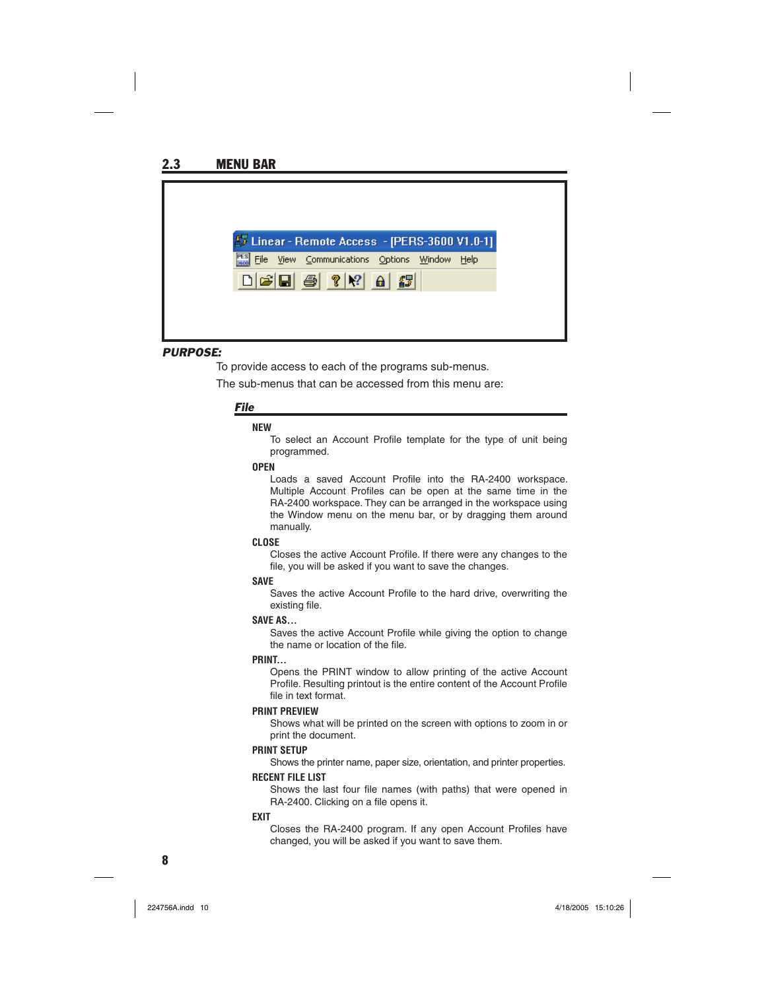

#### *PURPOSE:*

To provide access to each of the programs sub-menus.

The sub-menus that can be accessed from this menu are:

#### *File*

#### **NEW**

To select an Account Profile template for the type of unit being programmed.

#### **OPEN**

Loads a saved Account Profile into the RA-2400 workspace. Multiple Account Profiles can be open at the same time in the RA-2400 workspace. They can be arranged in the workspace using the Window menu on the menu bar, or by dragging them around manually.

#### **CLOSE**

Closes the active Account Profile. If there were any changes to the file, you will be asked if you want to save the changes.

#### **SAVE**

Saves the active Account Profile to the hard drive, overwriting the existing file.

#### **SAVE AS...**

Saves the active Account Profile while giving the option to change the name or location of the file.

#### **PRINT...**

Opens the PRINT window to allow printing of the active Account Profile. Resulting printout is the entire content of the Account Profile file in text format.

#### **PRINT PREVIEW**

Shows what will be printed on the screen with options to zoom in or print the document.

#### **PRINT SETUP**

Shows the printer name, paper size, orientation, and printer properties.

#### **RECENT FILE LIST**

Shows the last four file names (with paths) that were opened in RA-2400. Clicking on a file opens it.

#### **EXIT**

Closes the RA-2400 program. If any open Account Profiles have changed, you will be asked if you want to save them.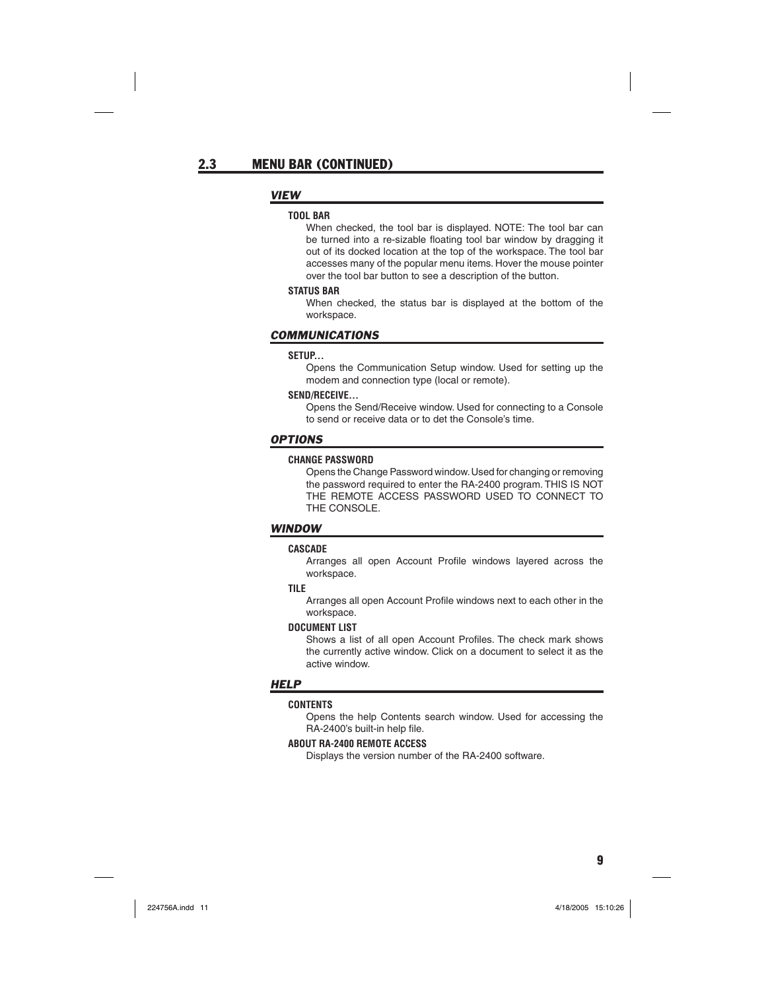#### *VIEW*

#### **TOOL BAR**

When checked, the tool bar is displayed. NOTE: The tool bar can be turned into a re-sizable floating tool bar window by dragging it out of its docked location at the top of the workspace. The tool bar accesses many of the popular menu items. Hover the mouse pointer over the tool bar button to see a description of the button.

#### **STATUS BAR**

When checked, the status bar is displayed at the bottom of the workspace.

#### *COMMUNICATIONS*

#### **SETUP...**

Opens the Communication Setup window. Used for setting up the modem and connection type (local or remote).

#### **SEND/RECEIVE...**

Opens the Send/Receive window. Used for connecting to a Console to send or receive data or to det the Console's time.

#### *OPTIONS*

#### **CHANGE PASSWORD**

Opens the Change Password window. Used for changing or removing the password required to enter the RA-2400 program. THIS IS NOT THE REMOTE ACCESS PASSWORD USED TO CONNECT TO THE CONSOLE.

#### *WINDOW*

#### **CASCADE**

Arranges all open Account Profile windows layered across the workspace.

#### **TILE**

Arranges all open Account Profile windows next to each other in the workspace.

#### **DOCUMENT LIST**

Shows a list of all open Account Profiles. The check mark shows the currently active window. Click on a document to select it as the active window.

#### *HELP*

#### **CONTENTS**

Opens the help Contents search window. Used for accessing the RA-2400's built-in help file.

#### **ABOUT RA-2400 REMOTE ACCESS**

Displays the version number of the RA-2400 software.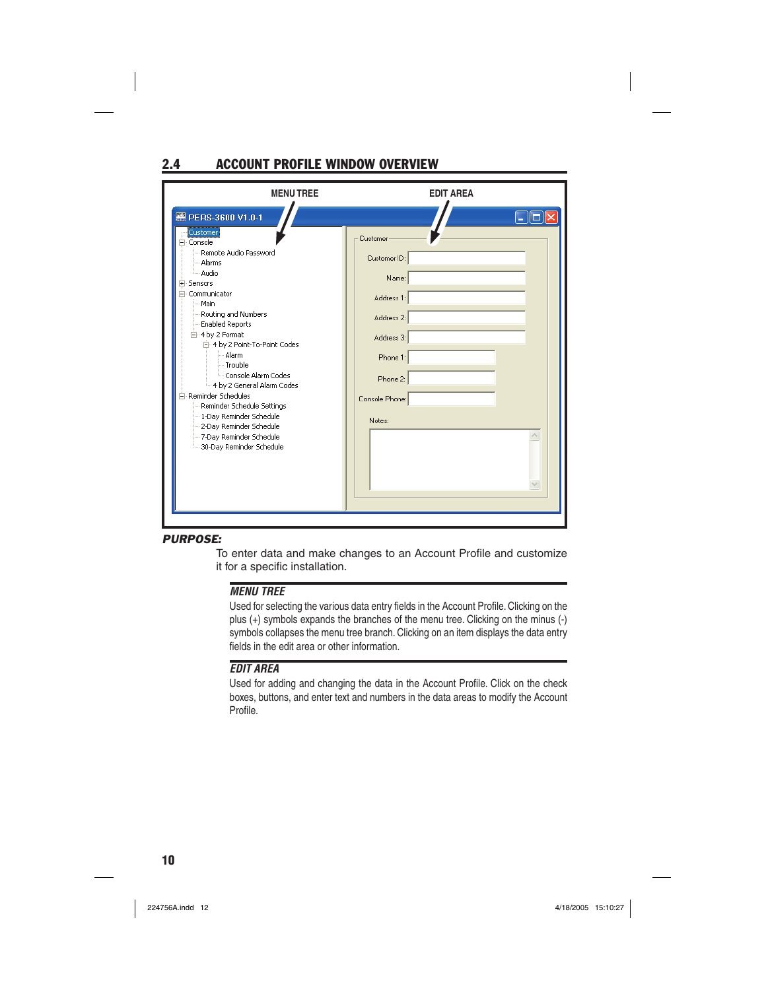# 2.4 ACCOUNT PROFILE WINDOW OVERVIEW

| <b>MENUTREE</b>                                                                                                                                                                                                                                            | <b>EDIT AREA</b>                                                            |
|------------------------------------------------------------------------------------------------------------------------------------------------------------------------------------------------------------------------------------------------------------|-----------------------------------------------------------------------------|
| 图 PERS-3600 V1.0-1<br>Customer<br>⊢⊤ Console<br>Remote Audio Password<br>- Alarms<br>- Audio<br>E-Sensors<br>E Communicator<br>· Main<br>Routing and Numbers<br>-- Enabled Reports<br>白-4 by 2 Format<br>白 4 by 2 Point-To-Point Codes                     | Customer<br>Customer ID:<br>Name:<br>Address 1:<br>Address 2:<br>Address 3: |
| -- Alarm<br>-- Trouble<br><br>Console Alarm Codes<br>- 4 by 2 General Alarm Codes<br>Fi-Reminder Schedules<br>Reminder Schedule Settings<br>-- 1-Day Reminder Schedule<br>2-Day Reminder Schedule<br>- 7-Day Reminder Schedule<br>30-Day Reminder Schedule | Phone 1:<br>Phone 2:<br>Console Phone:<br>Notes:                            |

### *PURPOSE:*

To enter data and make changes to an Account Profile and customize it for a specific installation.

#### *MENU TREE*

Used for selecting the various data entry fields in the Account Profile. Clicking on the plus (+) symbols expands the branches of the menu tree. Clicking on the minus (-) symbols collapses the menu tree branch. Clicking on an item displays the data entry fields in the edit area or other information.

### *EDIT AREA*

Used for adding and changing the data in the Account Profile. Click on the check boxes, buttons, and enter text and numbers in the data areas to modify the Account Profile.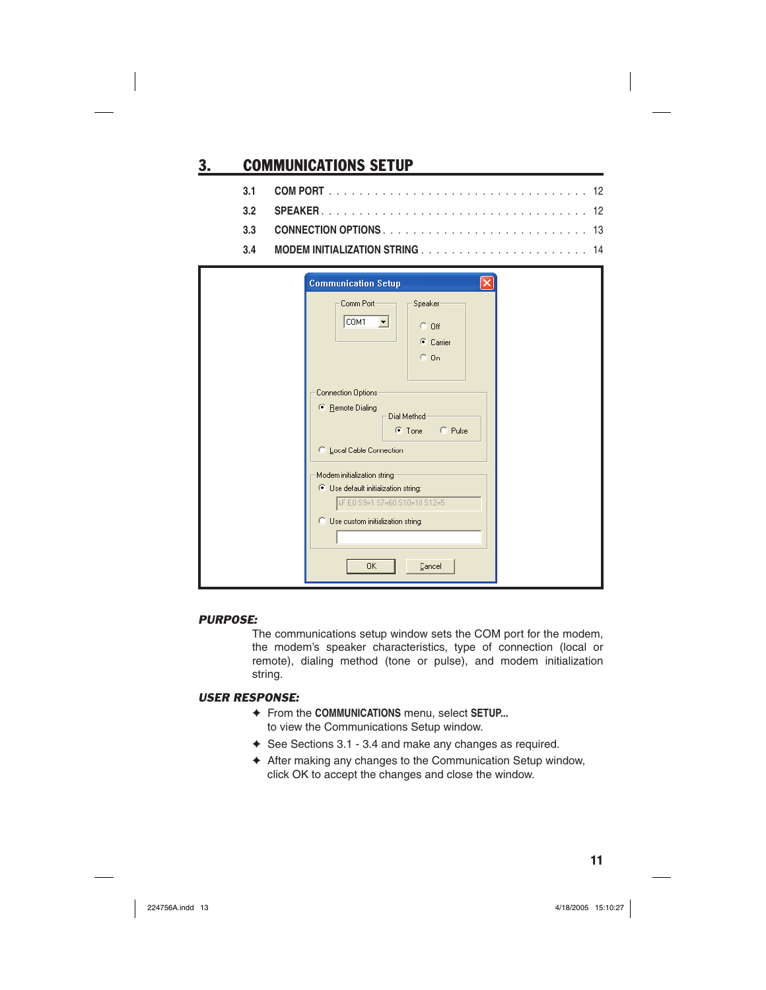# 3. COMMUNICATIONS SETUP

| <b>Communication Setup</b>                                                                                                                  |  |
|---------------------------------------------------------------------------------------------------------------------------------------------|--|
| Comm Port-<br>Speaker<br>COM1<br>▼<br>$C$ Off<br>C Carrier<br>$C_0$ On                                                                      |  |
| Connection Options<br>● Remote Dialing<br>Dial Method<br>C Pulse<br>$\bullet$ Tone<br>C Local Cable Connection                              |  |
| Modem initialization string<br>C Use default initialization string:<br>&F EO S9=1 S7=60 S10=10 S12=5<br>C Use custom initialization string: |  |
| <b>OK</b><br>Cancel                                                                                                                         |  |

### *PURPOSE:*

The communications setup window sets the COM port for the modem, the modem's speaker characteristics, type of connection (local or remote), dialing method (tone or pulse), and modem initialization string.

- ✦ From the **COMMUNICATIONS** menu, select **SETUP...** to view the Communications Setup window.
- ✦ See Sections 3.1 3.4 and make any changes as required.
- ✦ After making any changes to the Communication Setup window, click OK to accept the changes and close the window.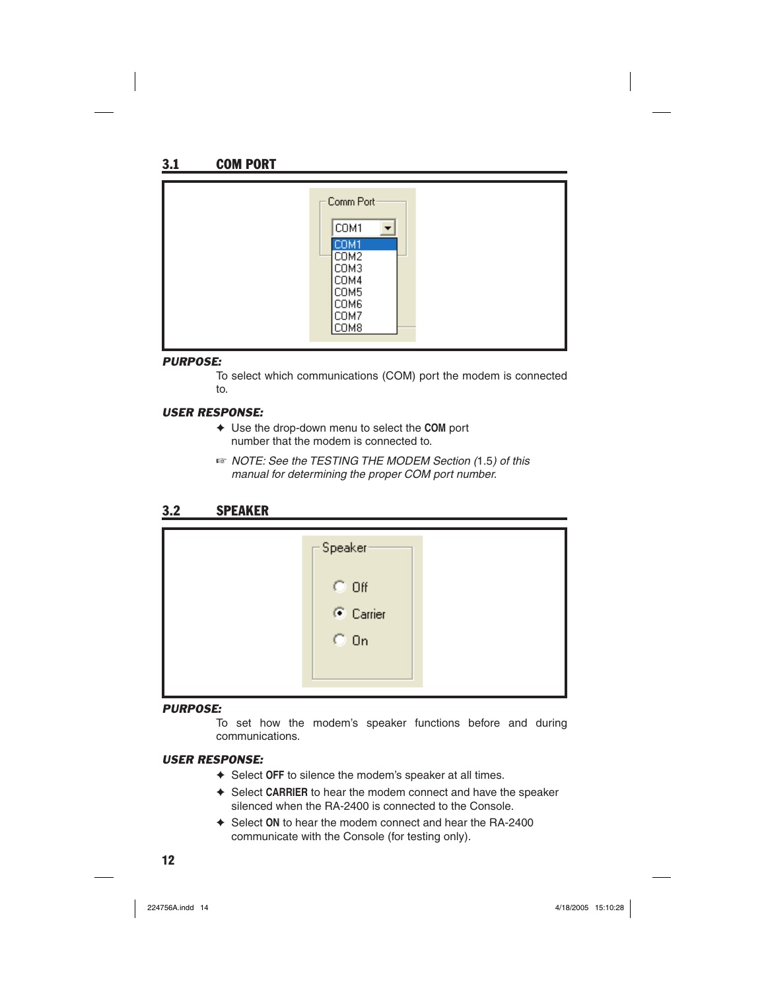| $\sqsubset$ Comm Port $\cdot$<br>COM1<br>COM1<br>COM <sub>2</sub><br>COM3<br>COM4<br>COM5<br>COM6<br>COM7<br>COM8 |
|-------------------------------------------------------------------------------------------------------------------|
|-------------------------------------------------------------------------------------------------------------------|

### *PURPOSE:*

To select which communications (COM) port the modem is connected to.

### *USER RESPONSE:*

- ✦ Use the drop-down menu to select the **COM** port number that the modem is connected to.
- ☞ *NOTE: See the TESTING THE MODEM Section (*1.5*) of this manual for determining the proper COM port number.*

### 3.2 SPEAKER

| -Speaker <sup>.</sup> |  |
|-----------------------|--|
| $C$ Off               |  |
| C Carrier             |  |
| $C_0$ On              |  |
|                       |  |
|                       |  |

### *PURPOSE:*

To set how the modem's speaker functions before and during communications.

- ✦ Select **OFF** to silence the modem's speaker at all times.
- ✦ Select **CARRIER** to hear the modem connect and have the speaker silenced when the RA-2400 is connected to the Console.
- ✦ Select **ON** to hear the modem connect and hear the RA-2400 communicate with the Console (for testing only).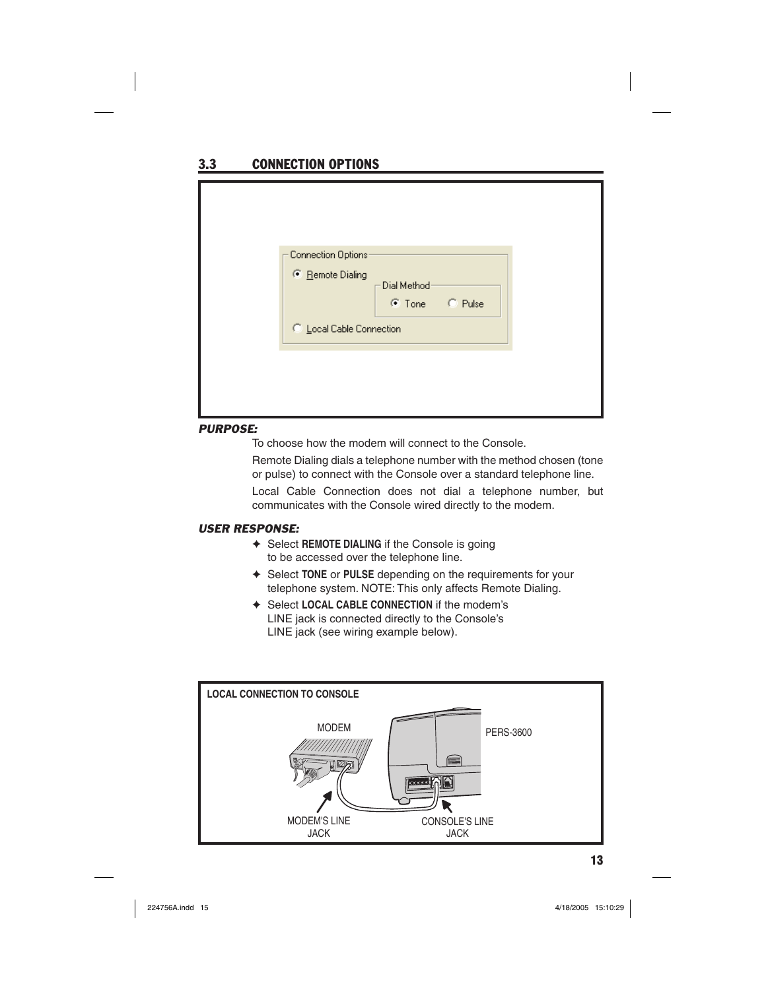# 3.3 CONNECTION OPTIONS

| Connection Options<br>● Remote Dialing | -Dial Method <sup>,</sup><br>C Tone C Pulse |  |
|----------------------------------------|---------------------------------------------|--|
| C Local Cable Connection               |                                             |  |
|                                        |                                             |  |
|                                        |                                             |  |

#### *PURPOSE:*

To choose how the modem will connect to the Console.

Remote Dialing dials a telephone number with the method chosen (tone or pulse) to connect with the Console over a standard telephone line.

Local Cable Connection does not dial a telephone number, but communicates with the Console wired directly to the modem.

- ✦ Select **REMOTE DIALING** if the Console is going to be accessed over the telephone line.
- ✦ Select **TONE** or **PULSE** depending on the requirements for your telephone system. NOTE: This only affects Remote Dialing.
- ✦ Select **LOCAL CABLE CONNECTION** if the modem's LINE jack is connected directly to the Console's LINE jack (see wiring example below).

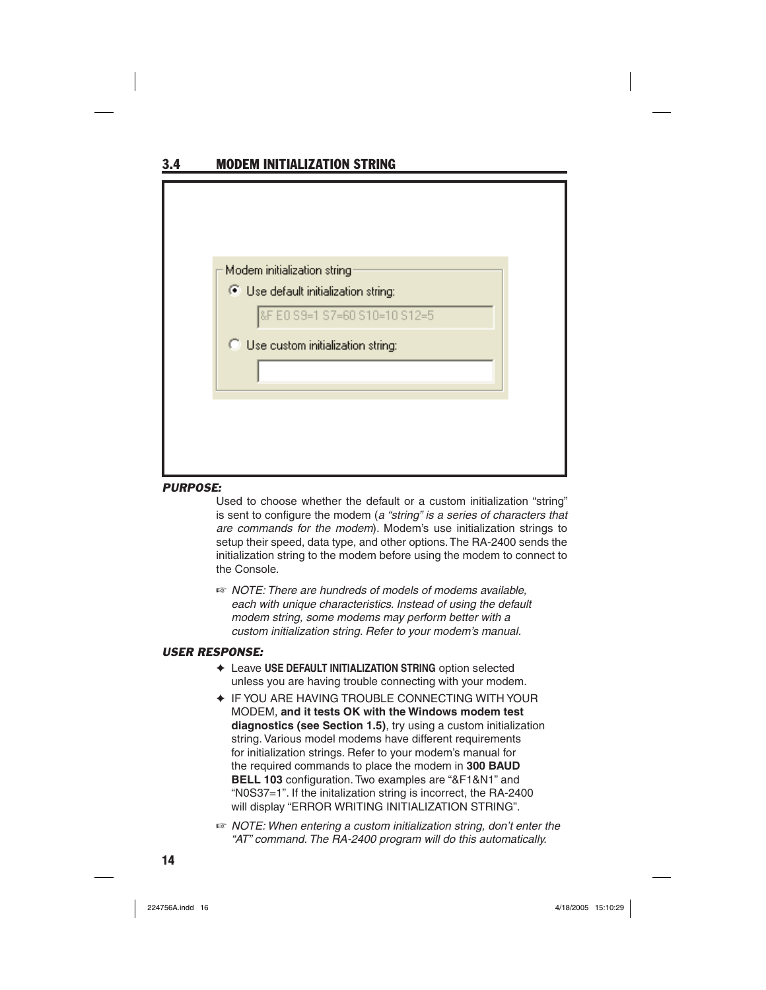### 3.4 MODEM INITIALIZATION STRING

| Modem initialization string<br>C Use default initialization string:<br>&F E0 S9=1 S7=60 S10=10 S12=5<br><b>C</b> Use custom initialization string: |
|----------------------------------------------------------------------------------------------------------------------------------------------------|
|                                                                                                                                                    |
|                                                                                                                                                    |
|                                                                                                                                                    |
|                                                                                                                                                    |
|                                                                                                                                                    |
|                                                                                                                                                    |
|                                                                                                                                                    |
|                                                                                                                                                    |

#### *PURPOSE:*

Used to choose whether the default or a custom initialization "string" is sent to configure the modem (*a "string" is a series of characters that are commands for the modem*). Modem's use initialization strings to setup their speed, data type, and other options. The RA-2400 sends the initialization string to the modem before using the modem to connect to the Console.

☞ *NOTE: There are hundreds of models of modems available, each with unique characteristics. Instead of using the default modem string, some modems may perform better with a custom initialization string. Refer to your modem's manual.*

- ✦ Leave **USE DEFAULT INITIALIZATION STRING** option selected unless you are having trouble connecting with your modem.
- ✦ IF YOU ARE HAVING TROUBLE CONNECTING WITH YOUR MODEM, **and it tests OK with the Windows modem test diagnostics (see Section 1.5)**, try using a custom initialization string. Various model modems have different requirements for initialization strings. Refer to your modem's manual for the required commands to place the modem in **300 BAUD BELL 103** configuration. Two examples are "&F1&N1" and "N0S37=1". If the initalization string is incorrect, the RA-2400 will display "ERROR WRITING INITIALIZATION STRING".
- ☞ *NOTE: When entering a custom initialization string, don't enter the "AT" command. The RA-2400 program will do this automatically.*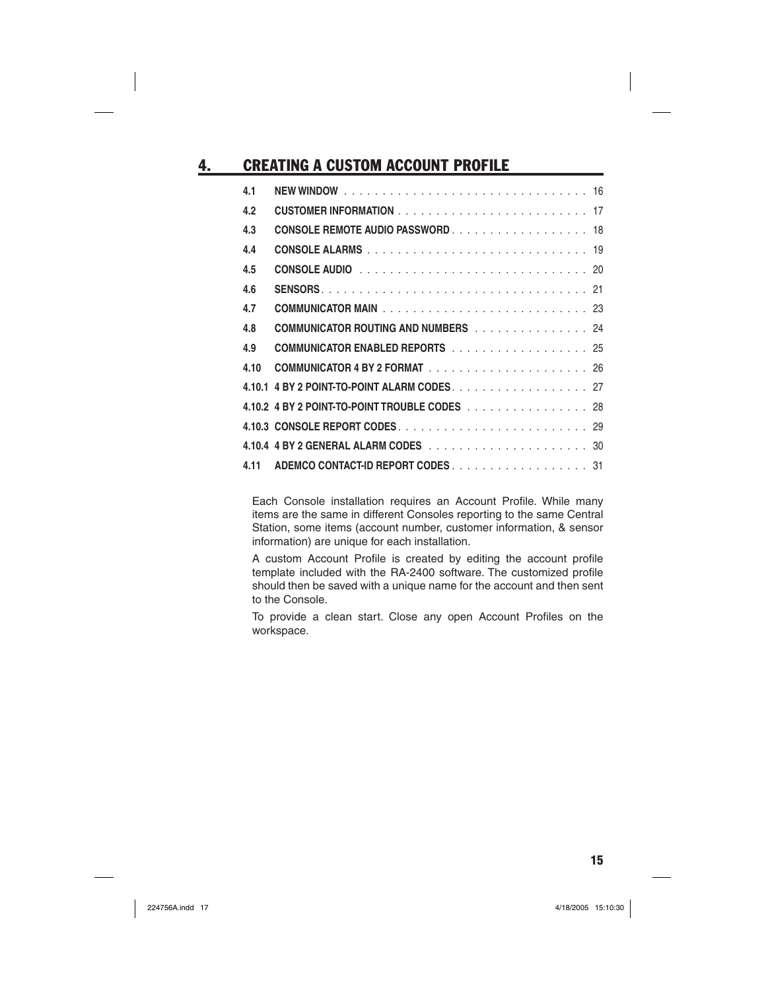# 4. CREATING A CUSTOM ACCOUNT PROFILE

| 4.1  |                                               |  |
|------|-----------------------------------------------|--|
| 4.2  |                                               |  |
| 4.3  | CONSOLE REMOTE AUDIO PASSWORD 18              |  |
| 4.4  |                                               |  |
| 4.5  |                                               |  |
| 4.6  |                                               |  |
| 4.7  |                                               |  |
| 4.8  | <b>COMMUNICATOR ROUTING AND NUMBERS</b> 24    |  |
| 4.9  | <b>COMMUNICATOR ENABLED REPORTS</b> 25        |  |
| 4.10 |                                               |  |
|      | 4.10.1 4 BY 2 POINT-TO-POINT ALARM CODES. 27  |  |
|      | 4.10.2 4 BY 2 POINT-TO-POINT TROUBLE CODES 28 |  |
|      |                                               |  |
|      |                                               |  |
| 4.11 | ADEMCO CONTACT-ID REPORT CODES 31             |  |

Each Console installation requires an Account Profile. While many items are the same in different Consoles reporting to the same Central Station, some items (account number, customer information, & sensor information) are unique for each installation.

A custom Account Profile is created by editing the account profile template included with the RA-2400 software. The customized profile should then be saved with a unique name for the account and then sent to the Console.

To provide a clean start. Close any open Account Profiles on the workspace.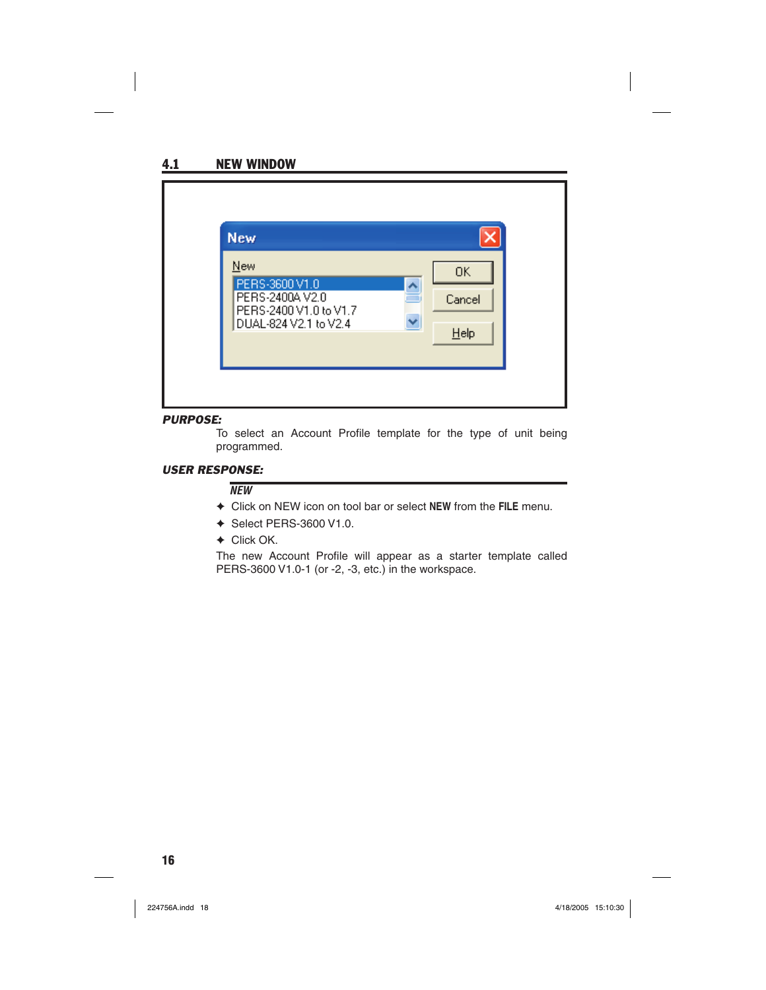

#### *PURPOSE:*

To select an Account Profile template for the type of unit being programmed.

#### *USER RESPONSE:*

#### *NEW*

- ✦ Click on NEW icon on tool bar or select **NEW** from the **FILE** menu.
- ✦ Select PERS-3600 V1.0.
- ✦ Click OK.

The new Account Profile will appear as a starter template called PERS-3600 V1.0-1 (or -2, -3, etc.) in the workspace.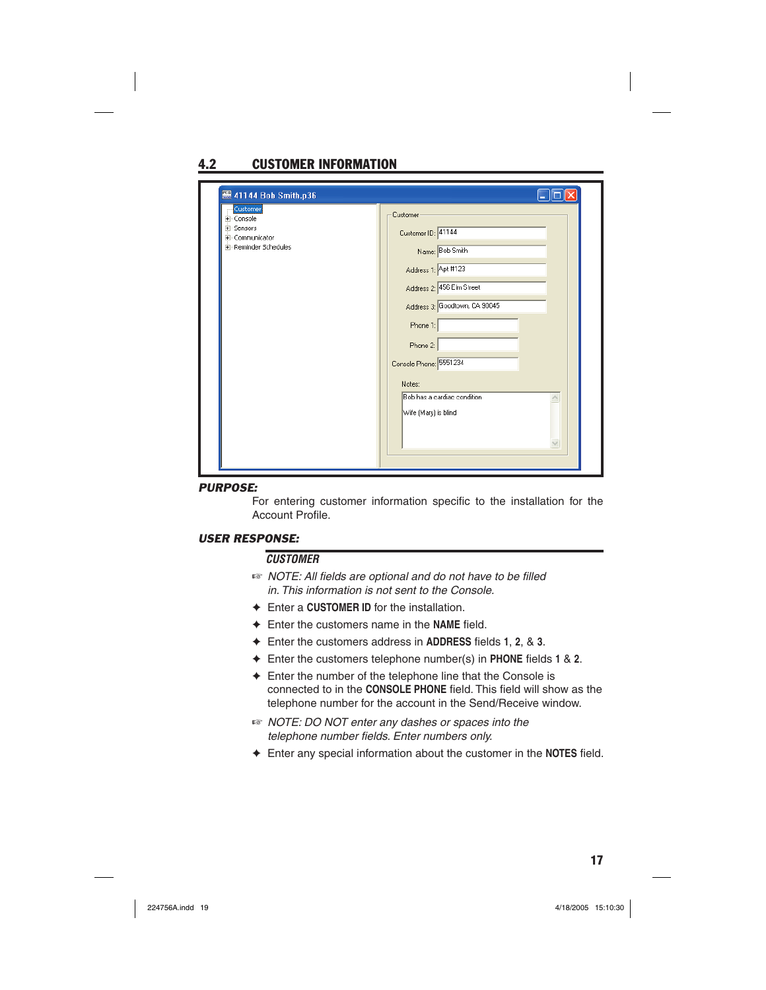# 4.2 CUSTOMER INFORMATION

| Customer<br>E- Console      | Customer                      |
|-----------------------------|-------------------------------|
| E-Sensors<br>E-Communicator | Customer ID: 41144            |
| F-Reminder Schedules        | Name: Bob Smith               |
|                             | Address 1: Apt #123           |
|                             | Address 2: 456 Elm Street     |
|                             | Address 3: Goodtown, CA 90045 |
|                             | Phone 1:                      |
|                             | Phone 2:                      |
|                             | Console Phone: 5551234        |
|                             | Notes:                        |
|                             | Bob has a cardiac condition   |
|                             | Wife (Mary) is blind          |
|                             | v                             |
|                             |                               |

#### *PURPOSE:*

For entering customer information specific to the installation for the Account Profile.

#### *USER RESPONSE:*

#### *CUSTOMER*

- $\mathbb{R}$  *NOTE: All fields are optional and do not have to be filled in. This information is not sent to the Console.*
- ✦ Enter a **CUSTOMER ID** for the installation.
- ← Enter the customers name in the NAME field.
- ← Enter the customers address in **ADDRESS** fields 1, 2, & 3.
- ← Enter the customers telephone number(s) in **PHONE** fields 1 & 2.
- ✦ Enter the number of the telephone line that the Console is connected to in the CONSOLE PHONE field. This field will show as the telephone number for the account in the Send/Receive window.
- ☞ *NOTE: DO NOT enter any dashes or spaces into the telephone number fi elds. Enter numbers only.*
- ← Enter any special information about the customer in the **NOTES** field.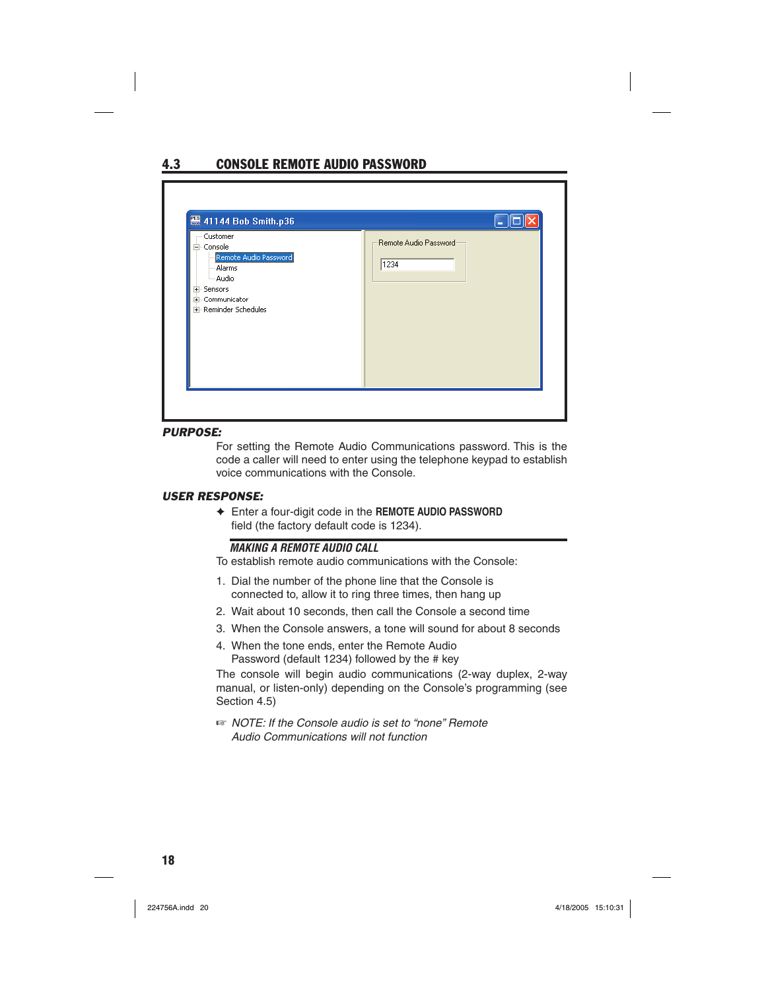# 4.3 CONSOLE REMOTE AUDIO PASSWORD

| 41144 Bob Smith.p36<br>- Customer<br>⊟- Console<br>Remote Audio Password<br>- Alarms<br>- Audio<br>El-Sensors<br>+ Communicator<br>E-Reminder Schedules | Remote Audio Password<br>1234 |
|---------------------------------------------------------------------------------------------------------------------------------------------------------|-------------------------------|
|---------------------------------------------------------------------------------------------------------------------------------------------------------|-------------------------------|

#### *PURPOSE:*

For setting the Remote Audio Communications password. This is the code a caller will need to enter using the telephone keypad to establish voice communications with the Console.

#### *USER RESPONSE:*

✦ Enter a four-digit code in the **REMOTE AUDIO PASSWORD**  field (the factory default code is 1234).

### *MAKING A REMOTE AUDIO CALL*

To establish remote audio communications with the Console:

- 1. Dial the number of the phone line that the Console is connected to, allow it to ring three times, then hang up
- 2. Wait about 10 seconds, then call the Console a second time
- 3. When the Console answers, a tone will sound for about 8 seconds
- 4. When the tone ends, enter the Remote Audio Password (default 1234) followed by the # key

The console will begin audio communications (2-way duplex, 2-way manual, or listen-only) depending on the Console's programming (see Section 4.5)

☞ *NOTE: If the Console audio is set to "none" Remote Audio Communications will not function*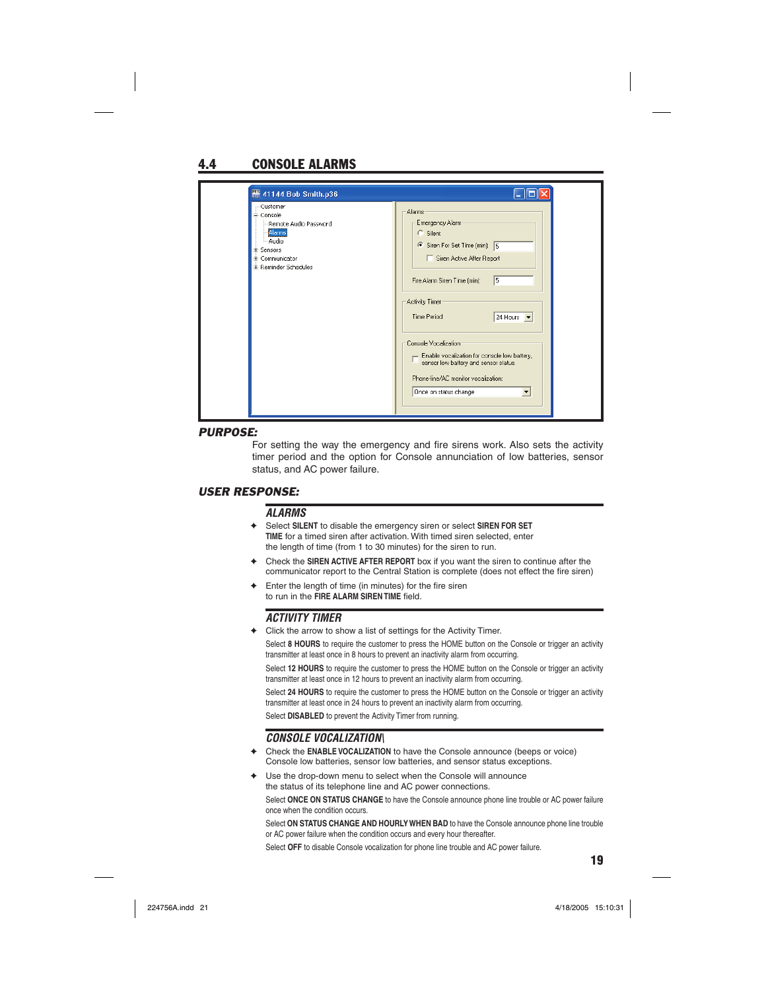# 4.4 CONSOLE ALARMS

| 图 41144 Bob Smith.p36                                                                                                                     |                                                                                                                                                                                                                                                                                                                                                                                                                                        |
|-------------------------------------------------------------------------------------------------------------------------------------------|----------------------------------------------------------------------------------------------------------------------------------------------------------------------------------------------------------------------------------------------------------------------------------------------------------------------------------------------------------------------------------------------------------------------------------------|
| - Customer<br><b>E-Console</b><br>Remote Audio Password<br>Alarms<br>Audio<br><b>E</b> -Sensors<br>#-Communicator<br>E-Reminder Schedules | Alarms<br>Emergency Alarm<br>$\subseteq$ Silent<br>Siren For Set Time (min): 5<br>Siren Active After Report<br>5<br>Fire Alarm Siren Time [min]:<br>Activity Timer<br>Time Period:<br>24 Hours $\vert \mathbf{v} \vert$<br>Console Vocalization<br>- Enable vocalization for console low battery,<br>sensor low battery and sensor status.<br>Phone-line/AC monitor vocalization:<br>Once on status change<br>$\overline{\phantom{a}}$ |

#### *PURPOSE:*

For setting the way the emergency and fire sirens work. Also sets the activity timer period and the option for Console annunciation of low batteries, sensor status, and AC power failure.

#### *USER RESPONSE:*

#### *ALARMS*

- ✦ Select **SILENT** to disable the emergency siren or select **SIREN FOR SET TIME** for a timed siren after activation. With timed siren selected, enter the length of time (from 1 to 30 minutes) for the siren to run.
- ✦ Check the **SIREN ACTIVE AFTER REPORT** box if you want the siren to continue after the communicator report to the Central Station is complete (does not effect the fire siren)
- Enter the length of time (in minutes) for the fire siren to run in the **FIRE ALARM SIREN TIME** field.

#### *ACTIVITY TIMER*

✦ Click the arrow to show a list of settings for the Activity Timer.

Select **8 HOURS** to require the customer to press the HOME button on the Console or trigger an activity transmitter at least once in 8 hours to prevent an inactivity alarm from occurring.

Select **12 HOURS** to require the customer to press the HOME button on the Console or trigger an activity transmitter at least once in 12 hours to prevent an inactivity alarm from occurring.

Select **24 HOURS** to require the customer to press the HOME button on the Console or trigger an activity transmitter at least once in 24 hours to prevent an inactivity alarm from occurring.

Select **DISABLED** to prevent the Activity Timer from running.

### *CONSOLE VOCALIZATION\*

- ✦ Check the **ENABLE VOCALIZATION** to have the Console announce (beeps or voice) Console low batteries, sensor low batteries, and sensor status exceptions.
- ✦ Use the drop-down menu to select when the Console will announce the status of its telephone line and AC power connections.

Select **ONCE ON STATUS CHANGE** to have the Console announce phone line trouble or AC power failure once when the condition occurs.

Select **ON STATUS CHANGE AND HOURLY WHEN BAD** to have the Console announce phone line trouble or AC power failure when the condition occurs and every hour thereafter.

Select **OFF** to disable Console vocalization for phone line trouble and AC power failure.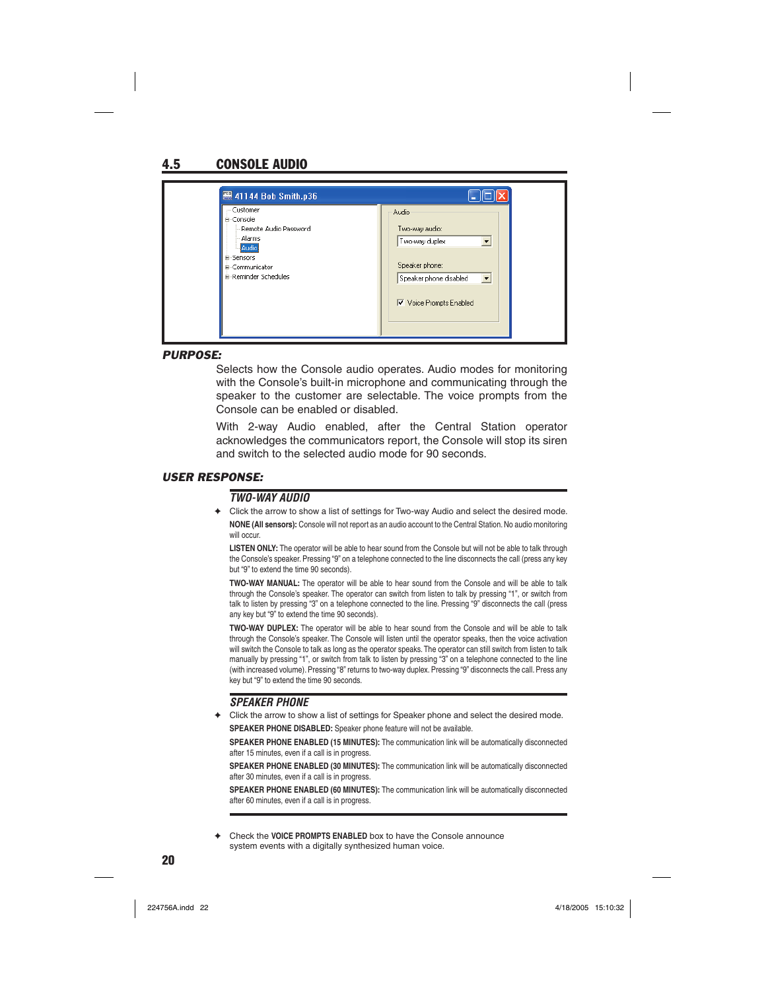# 4.5 CONSOLE AUDIO

#### *PURPOSE:*

Selects how the Console audio operates. Audio modes for monitoring with the Console's built-in microphone and communicating through the speaker to the customer are selectable. The voice prompts from the Console can be enabled or disabled.

With 2-way Audio enabled, after the Central Station operator acknowledges the communicators report, the Console will stop its siren and switch to the selected audio mode for 90 seconds.

#### *USER RESPONSE:*

#### *TWO-WAY AUDIO*

✦ Click the arrow to show a list of settings for Two-way Audio and select the desired mode. **NONE (All sensors):** Console will not report as an audio account to the Central Station. No audio monitoring will occur.

**LISTEN ONLY:** The operator will be able to hear sound from the Console but will not be able to talk through the Console's speaker. Pressing "9" on a telephone connected to the line disconnects the call (press any key but "9" to extend the time 90 seconds).

**TWO-WAY MANUAL:** The operator will be able to hear sound from the Console and will be able to talk through the Console's speaker. The operator can switch from listen to talk by pressing "1", or switch from talk to listen by pressing "3" on a telephone connected to the line. Pressing "9" disconnects the call (press any key but "9" to extend the time 90 seconds).

**TWO-WAY DUPLEX:** The operator will be able to hear sound from the Console and will be able to talk through the Console's speaker. The Console will listen until the operator speaks, then the voice activation will switch the Console to talk as long as the operator speaks. The operator can still switch from listen to talk manually by pressing "1", or switch from talk to listen by pressing "3" on a telephone connected to the line (with increased volume). Pressing "8" returns to two-way duplex. Pressing "9" disconnects the call. Press any key but "9" to extend the time 90 seconds.

#### *SPEAKER PHONE*

✦ Click the arrow to show a list of settings for Speaker phone and select the desired mode. **SPEAKER PHONE DISABLED:** Speaker phone feature will not be available.

**SPEAKER PHONE ENABLED (15 MINUTES):** The communication link will be automatically disconnected after 15 minutes, even if a call is in progress.

**SPEAKER PHONE ENABLED (30 MINUTES):** The communication link will be automatically disconnected after 30 minutes, even if a call is in progress.

**SPEAKER PHONE ENABLED (60 MINUTES):** The communication link will be automatically disconnected after 60 minutes, even if a call is in progress.

Check the **VOICE PROMPTS ENABLED** box to have the Console announce system events with a digitally synthesized human voice.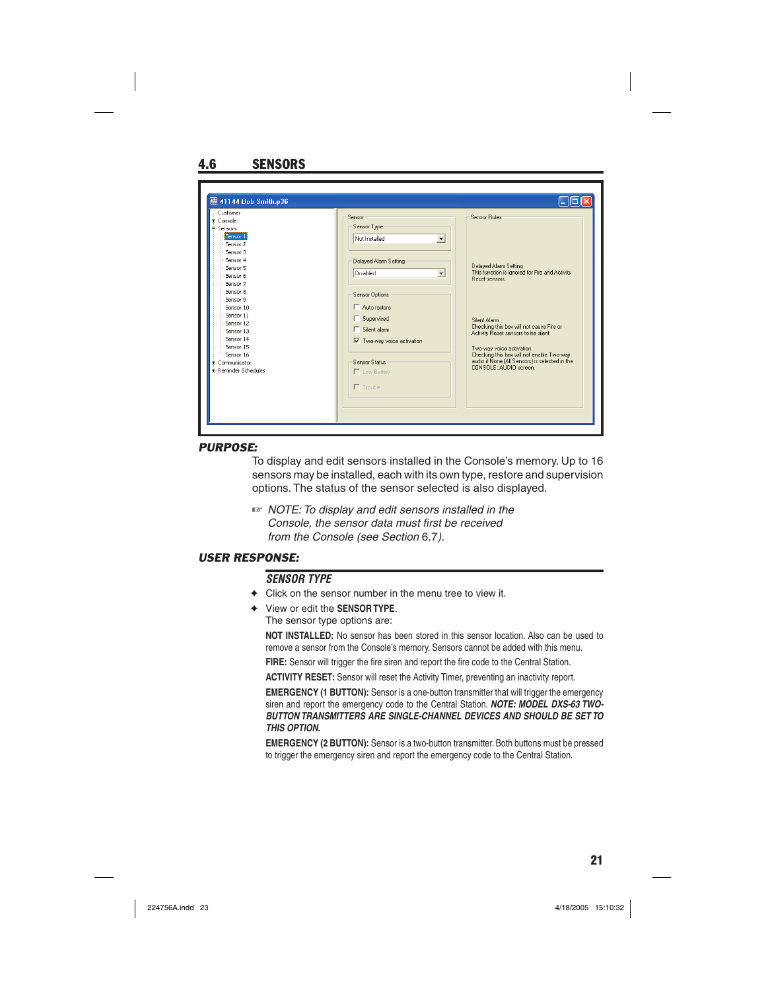| Customer<br>#-Console<br><b>E-Sensors</b><br>Sensor 1<br>Sensor 2<br>Sensor <sub>3</sub><br>Sensor 4<br>Sensor 5                                                                             | Sensor<br>Sensor Type:<br>$\overline{\phantom{a}}$<br>Not Installed<br>Delayed Alarm Setting                                                                                                                             | Sensor Rules<br>Delayed Alarm Setting                                                                                                                                                                                                                                                                                           |
|----------------------------------------------------------------------------------------------------------------------------------------------------------------------------------------------|--------------------------------------------------------------------------------------------------------------------------------------------------------------------------------------------------------------------------|---------------------------------------------------------------------------------------------------------------------------------------------------------------------------------------------------------------------------------------------------------------------------------------------------------------------------------|
| Sensor 6<br>Sensor <sub>7</sub><br>Sensor 8<br>Sensor 9<br>Sensor 10<br>Sensor 11<br>Sensor 12<br>Sensor 13<br>Sensor 14<br>Sensor 15<br>Sensor 16<br>#-Communicator<br>#-Reminder Schedules | Disabled<br>$\overline{\phantom{a}}$<br>Sensor Options<br>$\Box$ Auto restore<br>□ Supervised<br>$\Box$ Silent alarm<br>$\overline{\nabla}$ Two-way voice activation<br>Sensor Status<br>Low Battery<br>$\Gamma$ Trouble | This function is ignored for Fire and Activity<br><b>Beset sensors</b><br>Silent Alarm<br>Checking this box will not cause Fire or<br>Activity Reset sensors to be silent.<br>Two-way voice activation<br>Checking this box will not enable Two-way<br>audio if None (All Sensors) is selected in the<br>CONSOLE: AUDIO screen. |

#### *PURPOSE:*

To display and edit sensors installed in the Console's memory. Up to 16 sensors may be installed, each with its own type, restore and supervision options. The status of the sensor selected is also displayed.

☞ *NOTE: To display and edit sensors installed in the Console, the sensor data must first be received from the Console (see Section* 6.7*).*

### *USER RESPONSE:*

### *SENSOR TYPE*

- $\rightarrow$  Click on the sensor number in the menu tree to view it.
- ✦ View or edit the **SENSOR TYPE**. The sensor type options are:

**NOT INSTALLED:** No sensor has been stored in this sensor location. Also can be used to remove a sensor from the Console's memory. Sensors cannot be added with this menu.

FIRE: Sensor will trigger the fire siren and report the fire code to the Central Station.

**ACTIVITY RESET:** Sensor will reset the Activity Timer, preventing an inactivity report.

**EMERGENCY (1 BUTTON):** Sensor is a one-button transmitter that will trigger the emergency siren and report the emergency code to the Central Station. *NOTE: MODEL DXS-63 TWO-BUTTON TRANSMITTERS ARE SINGLE-CHANNEL DEVICES AND SHOULD BE SET TO THIS OPTION.*

**EMERGENCY (2 BUTTON):** Sensor is a two-button transmitter. Both buttons must be pressed to trigger the emergency siren and report the emergency code to the Central Station.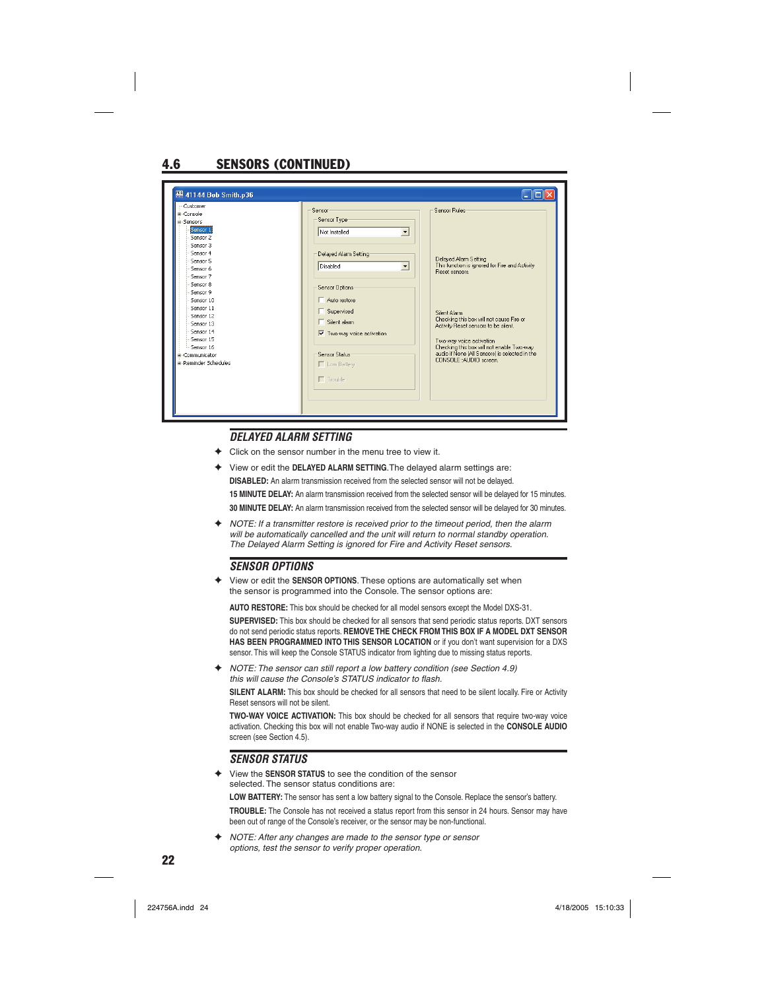# 4.6 SENSORS (CONTINUED)

| #-Console<br><b>A-Sensors</b><br>Sensor 1<br>Sensor 2<br>Sensor 3<br>Sensor 4<br>Sensor 5<br>Sensor 6<br>Sensor 7<br>Sensor 8<br>Sensor 9<br>Sensor 10<br>Sensor 11<br>Sensor 12<br>Sensor 13<br>Sensor 14<br>Sensor 15<br>Sensor 16<br>#-Communicator<br>#-Reminder Schedules | Sensor<br>Sensor Type:<br>Not Installed<br>$\overline{\phantom{0}}$<br>Delayed Alarm Setting<br>Disabled<br>$\blacktriangledown$<br><b>Sensor Options</b><br>Auto restore<br>Supervised<br>$\Box$ Silent alarm<br>$\overline{\mathsf{v}}$ Two-way voice activation<br>Sensor Status<br>Low Battery<br>$\Gamma$ Trouble | <b>Sensor Rules</b><br>Delayed Alarm Setting<br>This function is ignored for Fire and Activity<br>Beset sensors<br>Silent Alarm<br>Checking this box will not cause Fire or<br>Activity Reset sensors to be silent.<br>Two-way voice activation<br>Checking this box will not enable Two-way<br>audio if None [All Sensors] is selected in the<br>CONSOLE:: AUDIO screen. |
|--------------------------------------------------------------------------------------------------------------------------------------------------------------------------------------------------------------------------------------------------------------------------------|------------------------------------------------------------------------------------------------------------------------------------------------------------------------------------------------------------------------------------------------------------------------------------------------------------------------|---------------------------------------------------------------------------------------------------------------------------------------------------------------------------------------------------------------------------------------------------------------------------------------------------------------------------------------------------------------------------|
|--------------------------------------------------------------------------------------------------------------------------------------------------------------------------------------------------------------------------------------------------------------------------------|------------------------------------------------------------------------------------------------------------------------------------------------------------------------------------------------------------------------------------------------------------------------------------------------------------------------|---------------------------------------------------------------------------------------------------------------------------------------------------------------------------------------------------------------------------------------------------------------------------------------------------------------------------------------------------------------------------|

#### *DELAYED ALARM SETTING*

- Click on the sensor number in the menu tree to view it.
- View or edit the DELAYED ALARM SETTING. The delayed alarm settings are: **DISABLED:** An alarm transmission received from the selected sensor will not be delayed. **15 MINUTE DELAY:** An alarm transmission received from the selected sensor will be delayed for 15 minutes. **30 MINUTE DELAY:** An alarm transmission received from the selected sensor will be delayed for 30 minutes.
- ✦ *NOTE: If a transmitter restore is received prior to the timeout period, then the alarm will be automatically cancelled and the unit will return to normal standby operation. The Delayed Alarm Setting is ignored for Fire and Activity Reset sensors.*

#### *SENSOR OPTIONS*

✦ View or edit the **SENSOR OPTIONS**. These options are automatically set when the sensor is programmed into the Console. The sensor options are:

**AUTO RESTORE:** This box should be checked for all model sensors except the Model DXS-31.

**SUPERVISED:** This box should be checked for all sensors that send periodic status reports. DXT sensors do not send periodic status reports. **REMOVE THE CHECK FROM THIS BOX IF A MODEL DXT SENSOR HAS BEEN PROGRAMMED INTO THIS SENSOR LOCATION** or if you don't want supervision for a DXS sensor. This will keep the Console STATUS indicator from lighting due to missing status reports.

✦ *NOTE: The sensor can still report a low battery condition (see Section 4.9)*  this will cause the Console's STATUS indicator to flash.

**SILENT ALARM:** This box should be checked for all sensors that need to be silent locally. Fire or Activity Reset sensors will not be silent.

**TWO-WAY VOICE ACTIVATION:** This box should be checked for all sensors that require two-way voice activation. Checking this box will not enable Two-way audio if NONE is selected in the **CONSOLE AUDIO** screen (see Section 4.5).

#### *SENSOR STATUS*

✦ View the **SENSOR STATUS** to see the condition of the sensor selected. The sensor status conditions are:

**LOW BATTERY:** The sensor has sent a low battery signal to the Console. Replace the sensor's battery.

**TROUBLE:** The Console has not received a status report from this sensor in 24 hours. Sensor may have been out of range of the Console's receiver, or the sensor may be non-functional.

✦ *NOTE: After any changes are made to the sensor type or sensor options, test the sensor to verify proper operation.*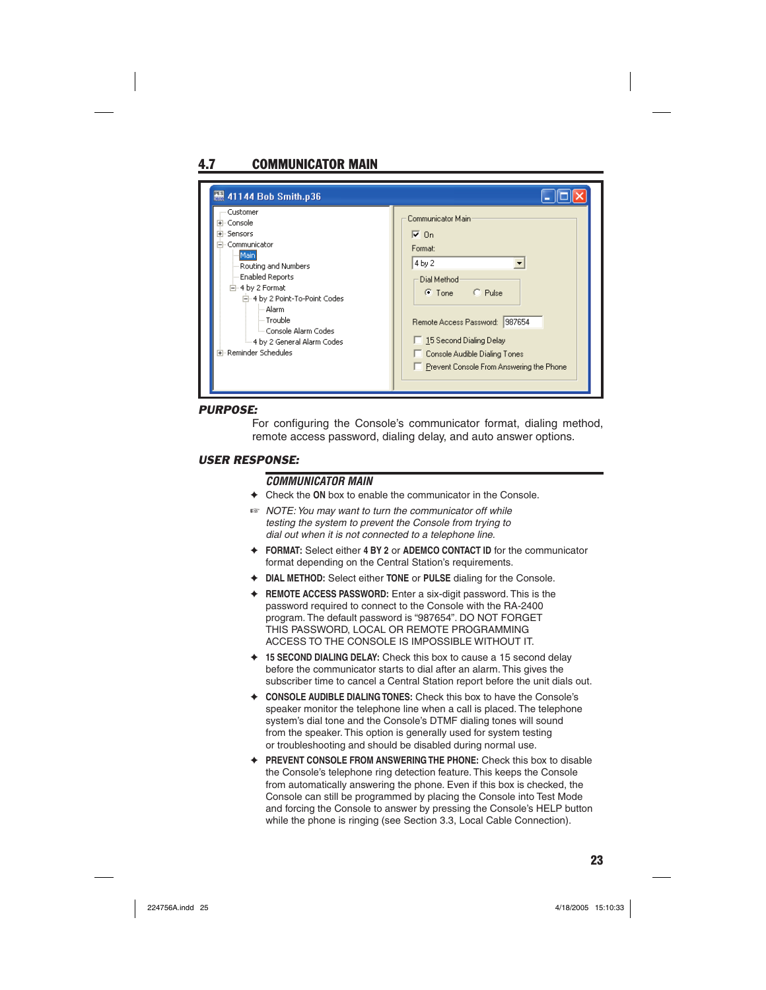# 4.7 COMMUNICATOR MAIN

| <b>图 41144 Bob Smith.p36</b>                                                                                                                                                                                                                                                                 |                                                                                                                                                                                                                                          |
|----------------------------------------------------------------------------------------------------------------------------------------------------------------------------------------------------------------------------------------------------------------------------------------------|------------------------------------------------------------------------------------------------------------------------------------------------------------------------------------------------------------------------------------------|
| Customer<br>⊞- Console<br><b>+</b> Sensors<br>Communicator<br>Main<br>Routing and Numbers<br><b>Enabled Reports</b><br>白-4 by 2 Format<br>白·4 by 2 Point-To-Point Codes<br>⊸ Alarmi<br>i— Trouble<br><sup>i</sup> Console Alarm Codes<br>4 by 2 General Alarm Codes<br>中 Reminder Schedules. | Communicator Main<br>l⊽ On<br>Format:<br>4 by 2<br>Dial Method<br>C. Pulse<br>$\bullet$ Tone<br>Remote Access Password: 987654<br>□ 15 Second Dialing Delay<br>Console Audible Dialing Tones<br>Prevent Console From Answering the Phone |

#### *PURPOSE:*

For configuring the Console's communicator format, dialing method, remote access password, dialing delay, and auto answer options.

#### *USER RESPONSE:*

#### *COMMUNICATOR MAIN*

- ✦ Check the **ON** box to enable the communicator in the Console.
- ☞ *NOTE: You may want to turn the communicator off while testing the system to prevent the Console from trying to dial out when it is not connected to a telephone line.*
- ✦ **FORMAT:** Select either **4 BY 2** or **ADEMCO CONTACT ID** for the communicator format depending on the Central Station's requirements.
- ✦ **DIAL METHOD:** Select either **TONE** or **PULSE** dialing for the Console.
- ✦ **REMOTE ACCESS PASSWORD:** Enter a six-digit password. This is the password required to connect to the Console with the RA-2400 program. The default password is "987654". DO NOT FORGET THIS PASSWORD, LOCAL OR REMOTE PROGRAMMING ACCESS TO THE CONSOLE IS IMPOSSIBLE WITHOUT IT.
- ✦ **15 SECOND DIALING DELAY:** Check this box to cause a 15 second delay before the communicator starts to dial after an alarm. This gives the subscriber time to cancel a Central Station report before the unit dials out.
- ✦ **CONSOLE AUDIBLE DIALING TONES:** Check this box to have the Console's speaker monitor the telephone line when a call is placed. The telephone system's dial tone and the Console's DTMF dialing tones will sound from the speaker. This option is generally used for system testing or troubleshooting and should be disabled during normal use.
- ✦ **PREVENT CONSOLE FROM ANSWERING THE PHONE:** Check this box to disable the Console's telephone ring detection feature. This keeps the Console from automatically answering the phone. Even if this box is checked, the Console can still be programmed by placing the Console into Test Mode and forcing the Console to answer by pressing the Console's HELP button while the phone is ringing (see Section 3.3, Local Cable Connection).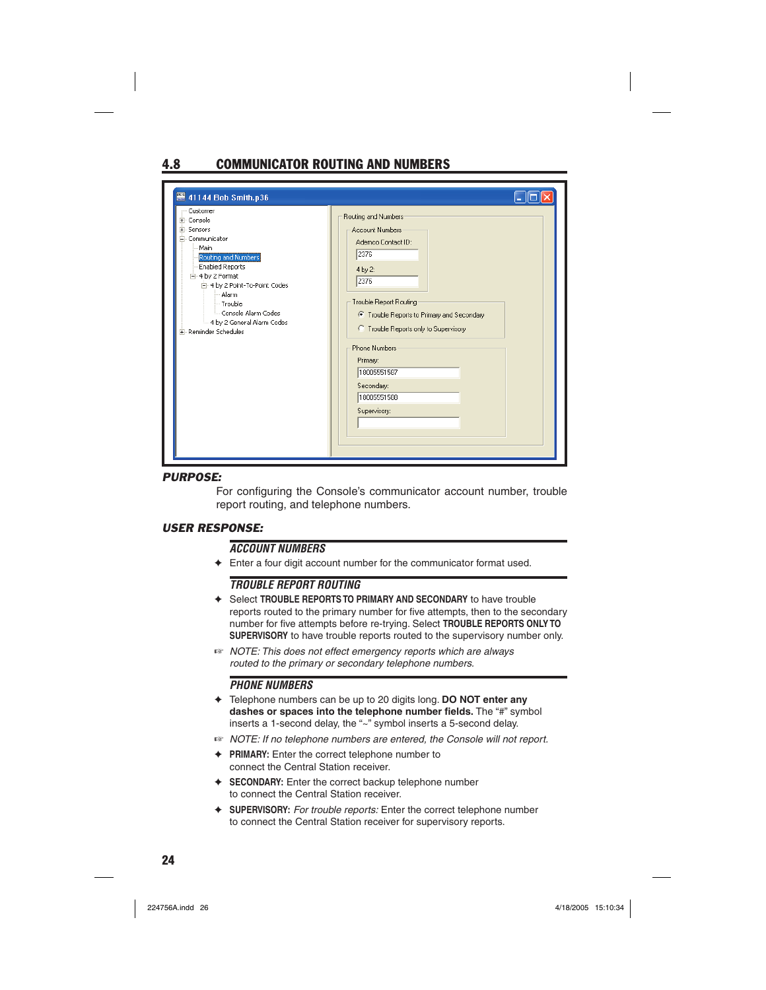# 4.8 COMMUNICATOR ROUTING AND NUMBERS

| 图 41144 Bob Smith.p36                                                                                                                                                                                                                                                       |                                                                                                                                                                                                                                                                                                          |
|-----------------------------------------------------------------------------------------------------------------------------------------------------------------------------------------------------------------------------------------------------------------------------|----------------------------------------------------------------------------------------------------------------------------------------------------------------------------------------------------------------------------------------------------------------------------------------------------------|
| Customer<br>Fi-Console<br>E-Sensors<br>E-Communicator<br>Main<br>Routing and Numbers<br><b>Enabled Reports</b><br>白-4 by 2 Format<br>白-4 by 2 Point-To-Point Codes<br>Alarm<br>-- Trouble<br>- Console Alarm Codes<br>- 4 by 2 General Alarm Codes<br>Fi-Reminder Schedules | Routing and Numbers<br>Account Numbers<br>Ademco Contact ID:<br>2376<br>4 by 2:<br>2376<br>Trouble Report Routing<br>● Trouble Reports to Primary and Secondary<br>C Trouble Reports only to Supervisory<br><b>Phone Numbers</b><br>Primary:<br>18005551587<br>Secondary:<br>18005551588<br>Supervisory: |

#### *PURPOSE:*

For configuring the Console's communicator account number, trouble report routing, and telephone numbers.

#### *USER RESPONSE:*

#### *ACCOUNT NUMBERS*

✦ Enter a four digit account number for the communicator format used.

#### *TROUBLE REPORT ROUTING*

- ✦ Select **TROUBLE REPORTS TO PRIMARY AND SECONDARY** to have trouble reports routed to the primary number for five attempts, then to the secondary number for five attempts before re-trying. Select **TROUBLE REPORTS ONLY TO SUPERVISORY** to have trouble reports routed to the supervisory number only.
- ☞ *NOTE: This does not effect emergency reports which are always routed to the primary or secondary telephone numbers.*

#### *PHONE NUMBERS*

- ✦ Telephone numbers can be up to 20 digits long. **DO NOT enter any dashes or spaces into the telephone number fields.** The "#" symbol inserts a 1-second delay, the "~" symbol inserts a 5-second delay.
- ☞ *NOTE: If no telephone numbers are entered, the Console will not report.*
- ✦ **PRIMARY:** Enter the correct telephone number to connect the Central Station receiver.
- ✦ **SECONDARY:** Enter the correct backup telephone number to connect the Central Station receiver.
- ✦ **SUPERVISORY:** *For trouble reports:* Enter the correct telephone number to connect the Central Station receiver for supervisory reports.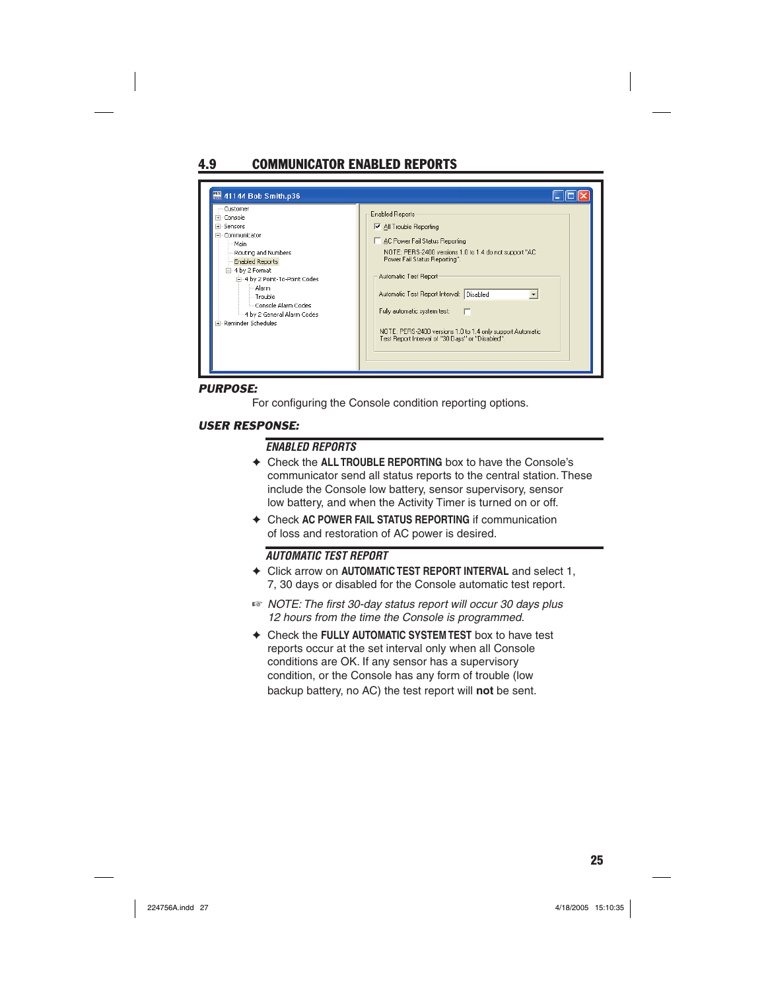# 4.9 COMMUNICATOR ENABLED REPORTS

| - Customer<br>El-Console<br><b>+</b> Sensors<br>- Communicator<br>— Main<br>Routing and Numbers<br><b>Enabled Reports</b><br>白-4 by 2 Format<br>白-4 by 2 Point-To-Point Codes<br>Alarm<br>- Trouble<br>- Console Alarm Codes<br>- 4 by 2 General Alarm Codes<br>F - Reminder Schedules | <b>Enabled Reports</b><br>$\nabla$ All Trouble Reporting<br>AC Power Fail Status Reporting<br>NOTE: PERS-2400 versions 1.0 to 1.4 do not support "AC<br>Power Fail Status Reporting".<br>Automatic Test Report<br>Automatic Test Report Interval: Disabled<br>Fully automatic system test:<br>NOTE: PERS-2400 versions 1.0 to 1.4 only support Automatic<br>Test Report Interval of "30 Days" or "Disabled". |
|----------------------------------------------------------------------------------------------------------------------------------------------------------------------------------------------------------------------------------------------------------------------------------------|--------------------------------------------------------------------------------------------------------------------------------------------------------------------------------------------------------------------------------------------------------------------------------------------------------------------------------------------------------------------------------------------------------------|
|----------------------------------------------------------------------------------------------------------------------------------------------------------------------------------------------------------------------------------------------------------------------------------------|--------------------------------------------------------------------------------------------------------------------------------------------------------------------------------------------------------------------------------------------------------------------------------------------------------------------------------------------------------------------------------------------------------------|

### *PURPOSE:*

For configuring the Console condition reporting options.

### *USER RESPONSE:*

#### *ENABLED REPORTS*

- ✦ Check the **ALL TROUBLE REPORTING** box to have the Console's communicator send all status reports to the central station. These include the Console low battery, sensor supervisory, sensor low battery, and when the Activity Timer is turned on or off.
- ✦ Check **AC POWER FAIL STATUS REPORTING** if communication of loss and restoration of AC power is desired.

#### *AUTOMATIC TEST REPORT*

- ✦ Click arrow on **AUTOMATIC TEST REPORT INTERVAL** and select 1, 7, 30 days or disabled for the Console automatic test report.
- $E$  *NOTE: The first 30-day status report will occur 30 days plus 12 hours from the time the Console is programmed.*
- ✦ Check the **FULLY AUTOMATIC SYSTEM TEST** box to have test reports occur at the set interval only when all Console conditions are OK. If any sensor has a supervisory condition, or the Console has any form of trouble (low backup battery, no AC) the test report will **not** be sent.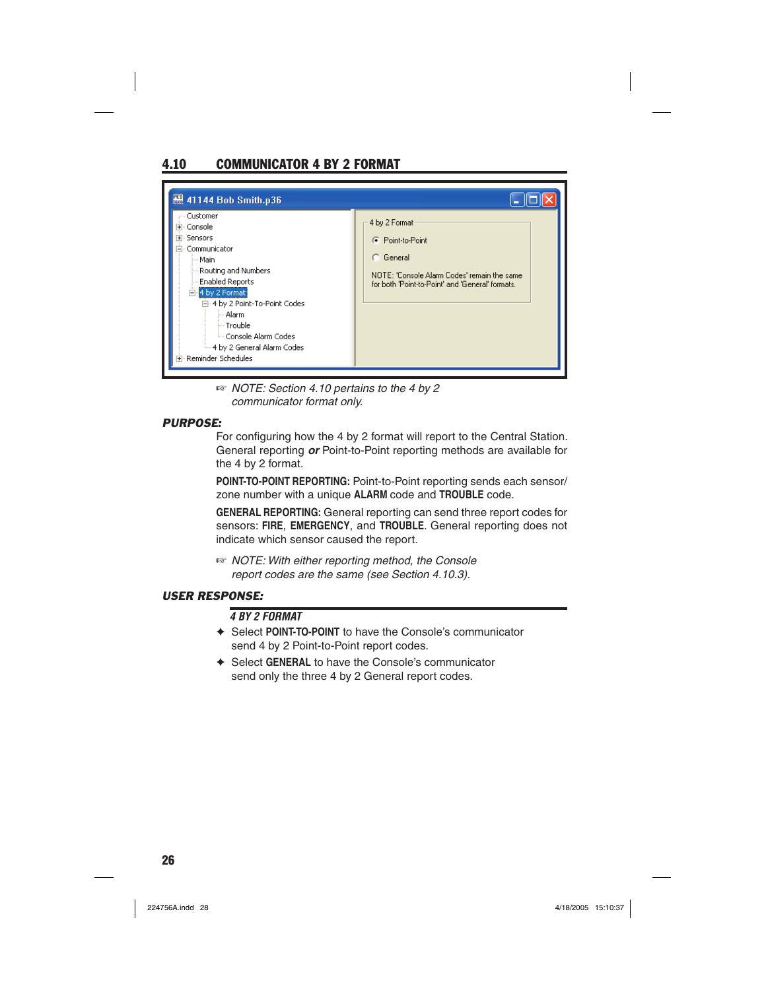# 4.10 COMMUNICATOR 4 BY 2 FORMAT



☞ *NOTE: Section 4.10 pertains to the 4 by 2 communicator format only.*

### *PURPOSE:*

For configuring how the 4 by 2 format will report to the Central Station. General reporting *or* Point-to-Point reporting methods are available for the 4 by 2 format.

**POINT-TO-POINT REPORTING:** Point-to-Point reporting sends each sensor/ zone number with a unique **ALARM** code and **TROUBLE** code.

**GENERAL REPORTING:** General reporting can send three report codes for sensors: **FIRE**, **EMERGENCY**, and **TROUBLE**. General reporting does not indicate which sensor caused the report.

☞ *NOTE: With either reporting method, the Console report codes are the same (see Section 4.10.3).*

### *USER RESPONSE:*

### *4 BY 2 FORMAT*

- ✦ Select **POINT-TO-POINT** to have the Console's communicator send 4 by 2 Point-to-Point report codes.
- ✦ Select **GENERAL** to have the Console's communicator send only the three 4 by 2 General report codes.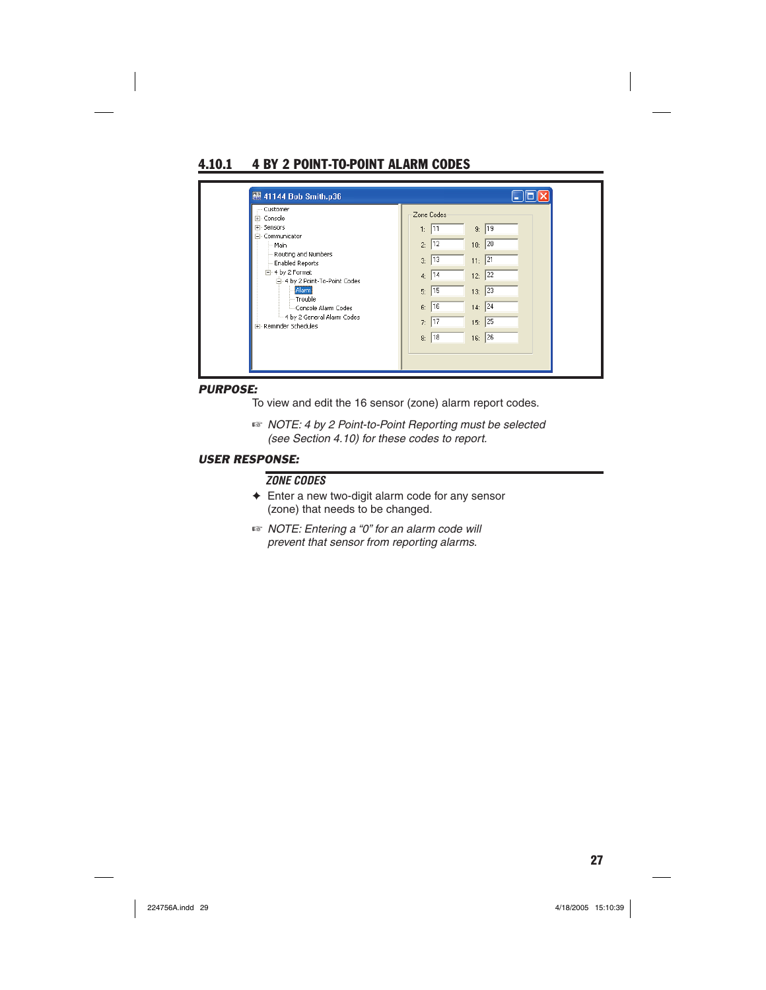# 4.10.1 4 BY 2 POINT-TO-POINT ALARM CODES

#### *PURPOSE:*

To view and edit the 16 sensor (zone) alarm report codes.

☞ *NOTE: 4 by 2 Point-to-Point Reporting must be selected (see Section 4.10) for these codes to report.*

### *USER RESPONSE:*

#### *ZONE CODES*

- ✦ Enter a new two-digit alarm code for any sensor (zone) that needs to be changed.
- ☞ *NOTE: Entering a "0" for an alarm code will prevent that sensor from reporting alarms.*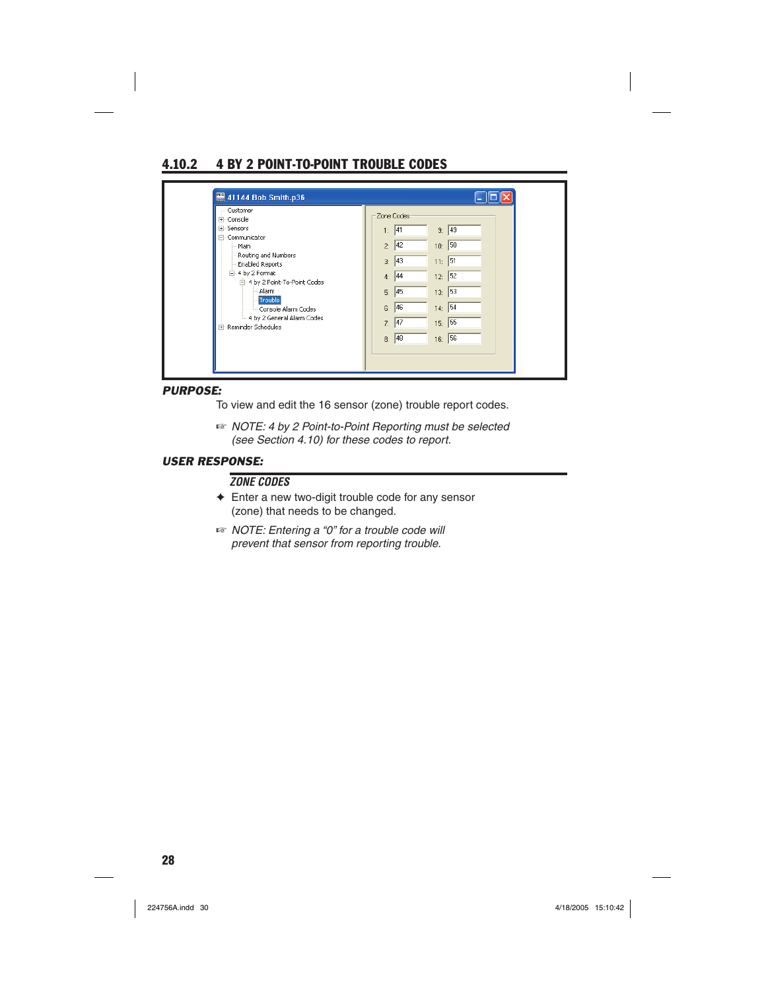### 4.10.2 4 BY 2 POINT-TO-POINT TROUBLE CODES

| - Customer                                                                    |                                                         |
|-------------------------------------------------------------------------------|---------------------------------------------------------|
| E- Console<br>E-Sensors<br>Communicator<br>F                                  | Zone Codes<br>49<br>9:<br> 41<br>1:                     |
| - Main<br>Routing and Numbers                                                 | 10: 50<br> 42 <br>2:                                    |
| Enabled Reports<br>白-4 by 2 Format<br>E-4 by 2 Point-To-Point Codes           | 11: 51<br> 43 <br>3 <sub>i</sub><br>12: 52<br> 44<br>4: |
| Alarm<br>Trouble                                                              | 13: 53<br>45<br>5 <sub>c</sub><br>14: 54<br>46<br>6:    |
| - Console Alarm Codes<br>- 4 by 2 General Alarm Codes<br>E-Reminder Schedules | 15: 55<br> 47<br>7:                                     |
|                                                                               | 16: 56<br>48<br>8 <sub>z</sub>                          |

#### *PURPOSE:*

To view and edit the 16 sensor (zone) trouble report codes.

☞ *NOTE: 4 by 2 Point-to-Point Reporting must be selected (see Section 4.10) for these codes to report.*

### *USER RESPONSE:*

### *ZONE CODES*

- ✦ Enter a new two-digit trouble code for any sensor (zone) that needs to be changed.
- ☞ *NOTE: Entering a "0" for a trouble code will prevent that sensor from reporting trouble.*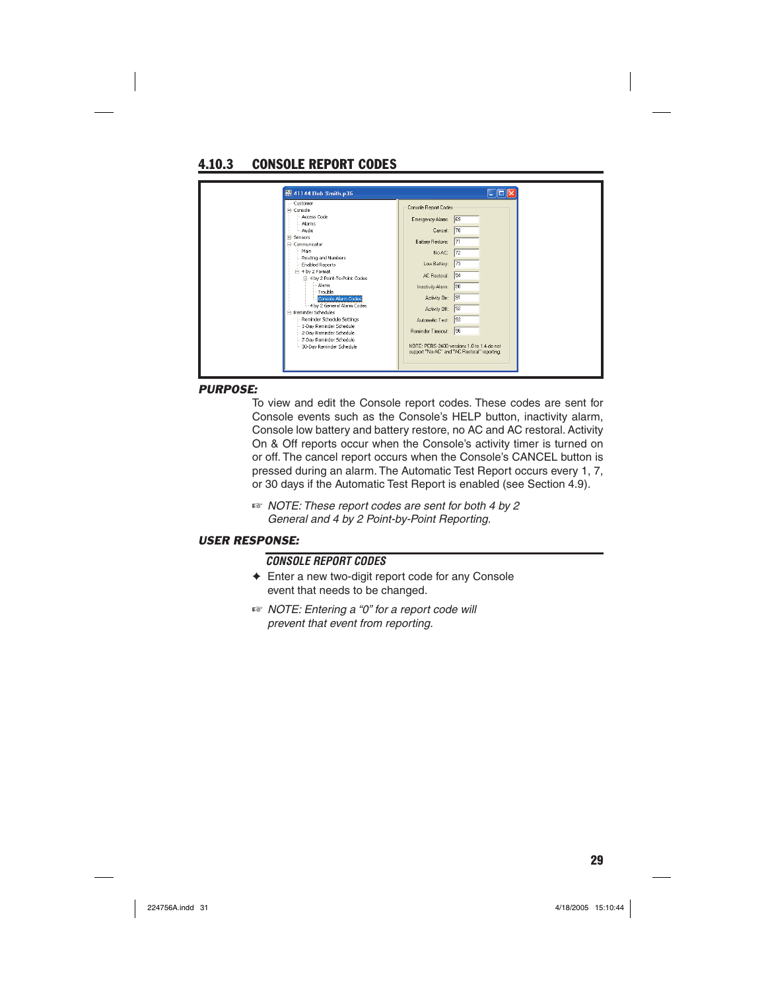# 4.10.3 CONSOLE REPORT CODES

| ×.<br>NOTE: PERS-2400 versions 1.0 to 1.4 do not<br>support "No AC" and "AC Restoral" reporting. | 图 41144 Bob Smith.p36<br>Customer<br>- Console<br>Access Code<br>Alarms<br>Audio<br>El-Sensors<br>- Communicator<br>-Main<br>Routing and Numbers<br>Enabled Reports<br>₩ 4 by 2 Format<br>E-4 by 2 Point-To-Point Codes<br>Alarm<br>- Trouble<br>Console Alarm Codes<br>4 by 2 General Alarm Codes<br>Reminder Schedules<br>Reminder Schedule Settinas<br>1-Day Reminder Schedule<br>2-Day Reminder Schedule<br>7-Day Reminder Schedule<br>30-Day Reminder Schedule |
|--------------------------------------------------------------------------------------------------|---------------------------------------------------------------------------------------------------------------------------------------------------------------------------------------------------------------------------------------------------------------------------------------------------------------------------------------------------------------------------------------------------------------------------------------------------------------------|
|                                                                                                  |                                                                                                                                                                                                                                                                                                                                                                                                                                                                     |

#### *PURPOSE:*

To view and edit the Console report codes. These codes are sent for Console events such as the Console's HELP button, inactivity alarm, Console low battery and battery restore, no AC and AC restoral. Activity On & Off reports occur when the Console's activity timer is turned on or off. The cancel report occurs when the Console's CANCEL button is pressed during an alarm. The Automatic Test Report occurs every 1, 7, or 30 days if the Automatic Test Report is enabled (see Section 4.9).

☞ *NOTE: These report codes are sent for both 4 by 2 General and 4 by 2 Point-by-Point Reporting.*

#### *USER RESPONSE:*

#### *CONSOLE REPORT CODES*

- ✦ Enter a new two-digit report code for any Console event that needs to be changed.
- ☞ *NOTE: Entering a "0" for a report code will prevent that event from reporting.*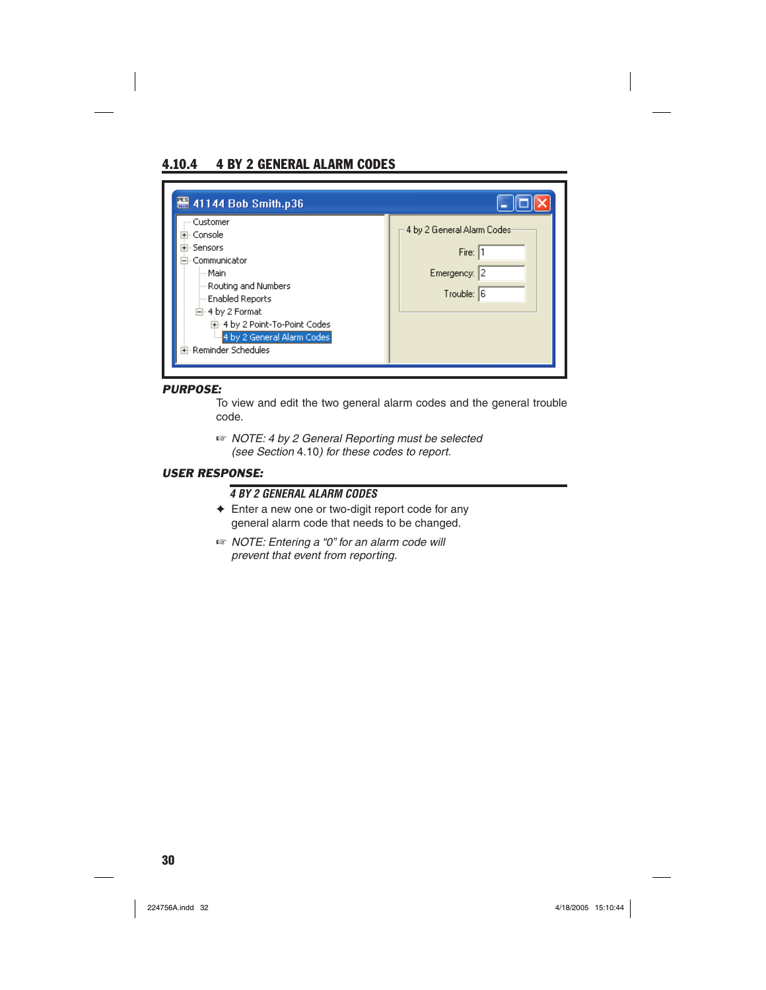## 4.10.4 4 BY 2 GENERAL ALARM CODES

| <b>图 41144 Bob Smith.p36</b><br>--- Customer<br>Console<br><b>Sensors</b><br>Communicator<br>--- Main<br>Routing and Numbers<br>-- Enabled Reports<br>白-4 by 2 Format<br>国·4 by 2 Point-To-Point Codes<br>4 by 2 General Alarm Codes<br>中·Reminder Schedules | 4 by 2 General Alarm Codes<br>Fire: 1<br>Emergency: 2<br>Trouble: 6 |
|--------------------------------------------------------------------------------------------------------------------------------------------------------------------------------------------------------------------------------------------------------------|---------------------------------------------------------------------|
|--------------------------------------------------------------------------------------------------------------------------------------------------------------------------------------------------------------------------------------------------------------|---------------------------------------------------------------------|

#### *PURPOSE:*

To view and edit the two general alarm codes and the general trouble code.

☞ *NOTE: 4 by 2 General Reporting must be selected (see Section* 4.10*) for these codes to report.*

#### *USER RESPONSE:*

### *4 BY 2 GENERAL ALARM CODES*

- ✦ Enter a new one or two-digit report code for any general alarm code that needs to be changed.
- ☞ *NOTE: Entering a "0" for an alarm code will prevent that event from reporting.*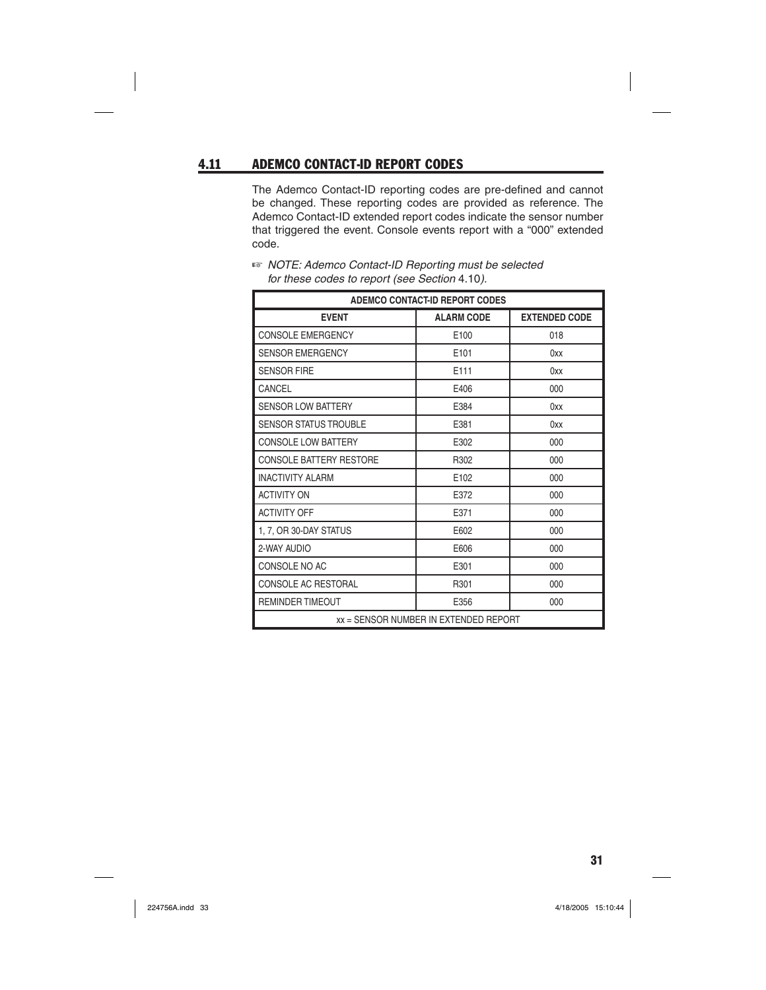### 4.11 ADEMCO CONTACT-ID REPORT CODES

The Ademco Contact-ID reporting codes are pre-defined and cannot be changed. These reporting codes are provided as reference. The Ademco Contact-ID extended report codes indicate the sensor number that triggered the event. Console events report with a "000" extended code.

| <b>ADEMCO CONTACT-ID REPORT CODES</b> |                   |                      |  |
|---------------------------------------|-------------------|----------------------|--|
| <b>EVENT</b>                          | <b>ALARM CODE</b> | <b>EXTENDED CODE</b> |  |
| CONSOLE EMERGENCY                     | E100              | 018                  |  |
| <b>SENSOR EMERGENCY</b>               | E101              | 0xx                  |  |
| SENSOR FIRE                           | F111              | 0xx                  |  |
| CANCEL                                | E406              | 000                  |  |
| <b>SENSOR LOW BATTERY</b>             | E384              | 0xx                  |  |
| <b>SENSOR STATUS TROUBLE</b>          | E381              | 0xx                  |  |
| <b>CONSOLE LOW BATTERY</b>            | E302              | 000                  |  |
| <b>CONSOLE BATTERY RESTORE</b>        | R302              | 000                  |  |
| <b>INACTIVITY ALARM</b>               | E102              | 000                  |  |
| <b>ACTIVITY ON</b>                    | E372              | 000                  |  |
| <b>ACTIVITY OFF</b>                   | E371              | 000                  |  |
| 1, 7, OR 30-DAY STATUS                | E602              | 000                  |  |
| 2-WAY AUDIO                           | E606              | 000                  |  |
| CONSOLE NO AC                         | E301              | 000                  |  |
| CONSOLE AC RESTORAL                   | R301              | 000                  |  |
| <b>REMINDER TIMEOUT</b>               | E356              | 000                  |  |
| xx = SENSOR NUMBER IN EXTENDED REPORT |                   |                      |  |

☞ *NOTE: Ademco Contact-ID Reporting must be selected for these codes to report (see Section* 4.10*).*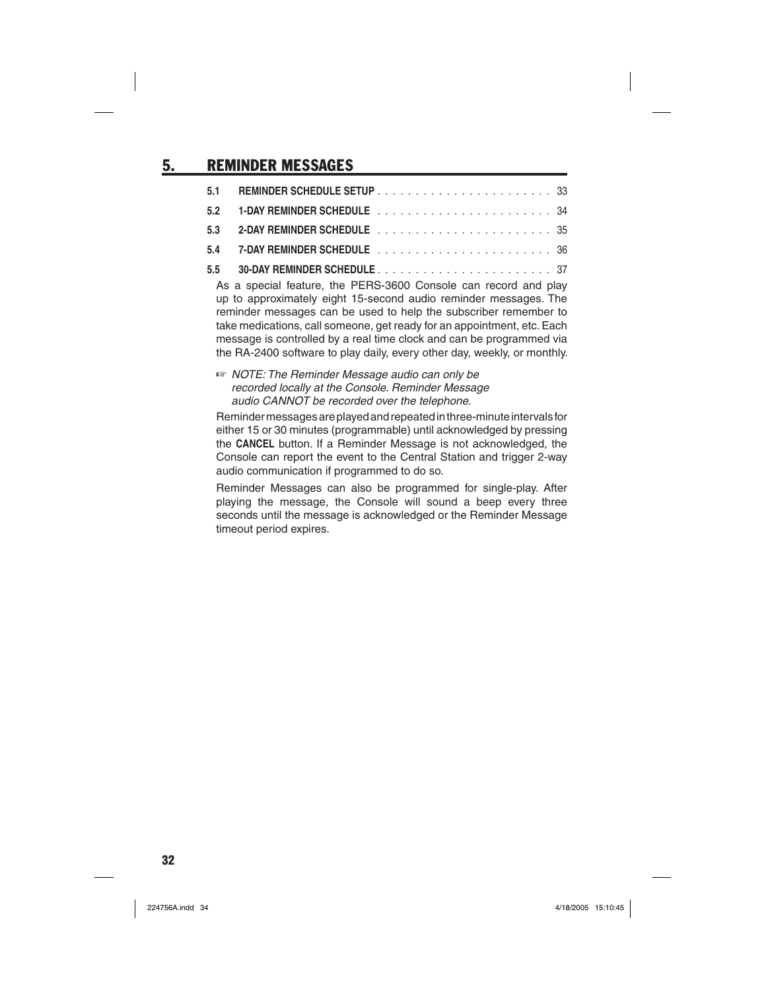# 5. REMINDER MESSAGES

| As a special feature the DEDS 3600 Consele can reserve and play |  |
|-----------------------------------------------------------------|--|

As a special feature, the PERS-3600 Console can record and play up to approximately eight 15-second audio reminder messages. The reminder messages can be used to help the subscriber remember to take medications, call someone, get ready for an appointment, etc. Each message is controlled by a real time clock and can be programmed via the RA-2400 software to play daily, every other day, weekly, or monthly.

#### ☞ *NOTE: The Reminder Message audio can only be recorded locally at the Console. Reminder Message audio CANNOT be recorded over the telephone.*

Reminder messages are played and repeated in three-minute intervals for either 15 or 30 minutes (programmable) until acknowledged by pressing the **CANCEL** button. If a Reminder Message is not acknowledged, the Console can report the event to the Central Station and trigger 2-way audio communication if programmed to do so.

Reminder Messages can also be programmed for single-play. After playing the message, the Console will sound a beep every three seconds until the message is acknowledged or the Reminder Message timeout period expires.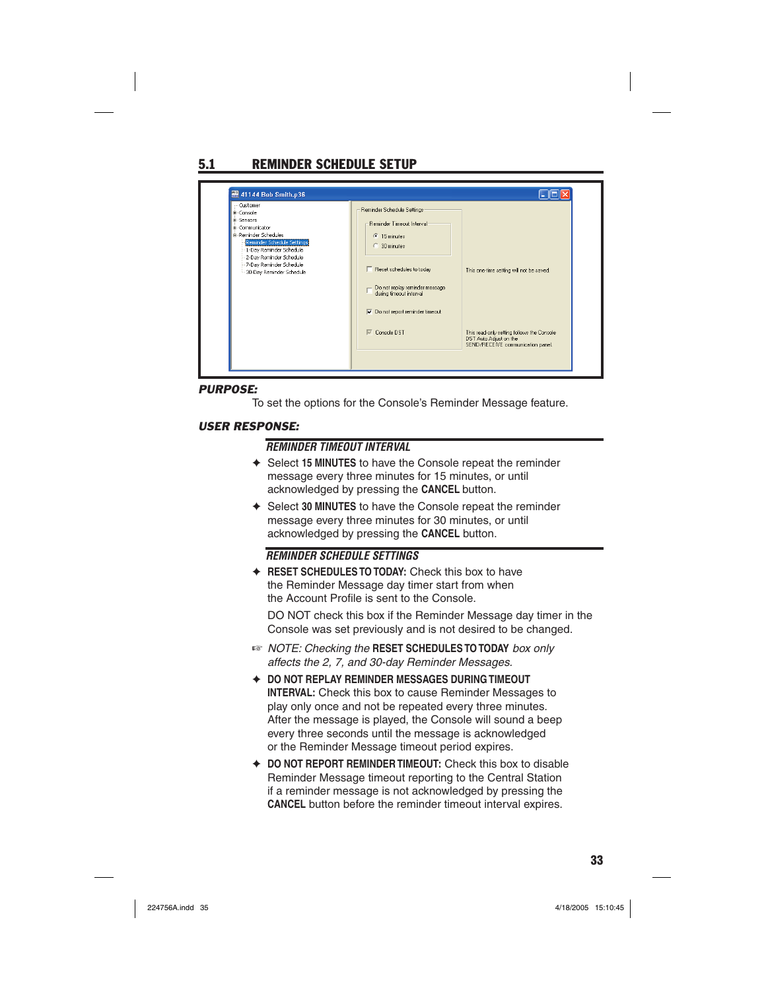# 5.1 REMINDER SCHEDULE SETUP

| <b>H</b> -Console<br>iii Sensors<br>#-Communicator<br><b>A-Reminder Schedules</b><br>Reminder Schedule Settings<br>1-Day Reminder Schedule<br>2-Day Reminder Schedule<br>7-Day Reminder Schedule<br>30-Day Reminder Schedule | Reminder Schedule Settings<br>Reminder Timeout Interval<br>$\sqrt{•}$ 15 minutes<br>30 minutes<br>□ Reset schedules to today<br>Do not replay reminder message<br>during timeout interval<br>$\nabla$ Do not report reminder timeout | This one-time setting will not be saved.                                                                  |
|------------------------------------------------------------------------------------------------------------------------------------------------------------------------------------------------------------------------------|--------------------------------------------------------------------------------------------------------------------------------------------------------------------------------------------------------------------------------------|-----------------------------------------------------------------------------------------------------------|
|                                                                                                                                                                                                                              | $\nabla$ Console DST                                                                                                                                                                                                                 | This read-only setting follows the Console<br>DST Auto Adjust on the<br>SEND/RECEIVE communication panel. |

#### *PURPOSE:*

To set the options for the Console's Reminder Message feature.

#### *USER RESPONSE:*

### *REMINDER TIMEOUT INTERVAL*

- ✦ Select **15 MINUTES** to have the Console repeat the reminder message every three minutes for 15 minutes, or until acknowledged by pressing the **CANCEL** button.
- ✦ Select **30 MINUTES** to have the Console repeat the reminder message every three minutes for 30 minutes, or until acknowledged by pressing the **CANCEL** button.

#### *REMINDER SCHEDULE SETTINGS*

✦ **RESET SCHEDULES TO TODAY:** Check this box to have the Reminder Message day timer start from when the Account Profile is sent to the Console.

 DO NOT check this box if the Reminder Message day timer in the Console was set previously and is not desired to be changed.

- ☞ *NOTE: Checking the* **RESET SCHEDULES TO TODAY** *box only affects the 2, 7, and 30-day Reminder Messages.*
- ✦ **DO NOT REPLAY REMINDER MESSAGES DURING TIMEOUT INTERVAL:** Check this box to cause Reminder Messages to play only once and not be repeated every three minutes. After the message is played, the Console will sound a beep every three seconds until the message is acknowledged or the Reminder Message timeout period expires.
- ✦ **DO NOT REPORT REMINDER TIMEOUT:** Check this box to disable Reminder Message timeout reporting to the Central Station if a reminder message is not acknowledged by pressing the **CANCEL** button before the reminder timeout interval expires.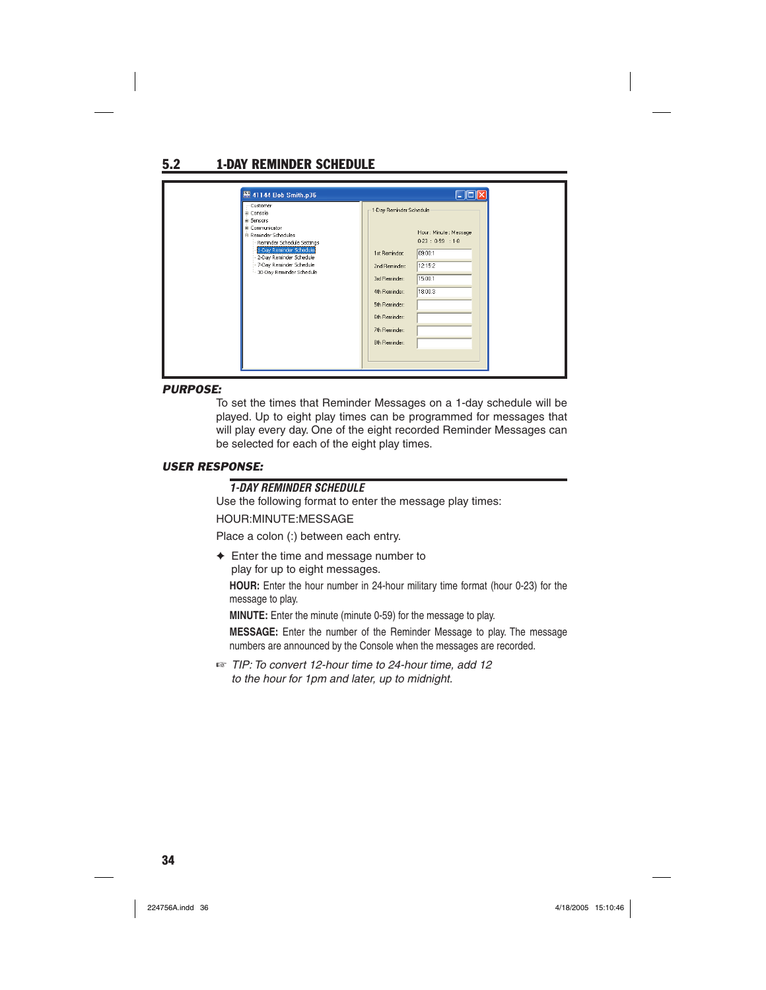# 5.2 1-DAY REMINDER SCHEDULE

| 图 41144 Bob Smith.p36<br>Customer<br><b>ii</b> -Console<br>#-Sensors<br># Communicator<br>Reminder Schedules<br>Reminder Schedule Settings<br>1-Day Reminder Schedule<br>2-Day Reminder Schedule<br>7-Day Reminder Schedule<br>30-Day Reminder Schedule | - 10<br>1-Day Reminder Schedule<br>Hour: Minute: Message<br>0.23 : 0.59 : 1.8<br>09:00:1<br>1st Reminder:<br>12:15:2<br>2nd Reminder:<br>15:00:1<br>3rd Reminder:<br>18:00:3<br>4th Reminder:<br>5th Reminder:<br>6th Reminder:<br>7th Reminder:<br>8th Reminder: |
|---------------------------------------------------------------------------------------------------------------------------------------------------------------------------------------------------------------------------------------------------------|-------------------------------------------------------------------------------------------------------------------------------------------------------------------------------------------------------------------------------------------------------------------|
|---------------------------------------------------------------------------------------------------------------------------------------------------------------------------------------------------------------------------------------------------------|-------------------------------------------------------------------------------------------------------------------------------------------------------------------------------------------------------------------------------------------------------------------|

#### *PURPOSE:*

To set the times that Reminder Messages on a 1-day schedule will be played. Up to eight play times can be programmed for messages that will play every day. One of the eight recorded Reminder Messages can be selected for each of the eight play times.

### *USER RESPONSE:*

#### *1-DAY REMINDER SCHEDULE*

Use the following format to enter the message play times:

#### HOUR:MINUTE:MESSAGE

Place a colon (:) between each entry.

 $\triangleleft$  Enter the time and message number to play for up to eight messages.

**HOUR:** Enter the hour number in 24-hour military time format (hour 0-23) for the message to play.

**MINUTE:** Enter the minute (minute 0-59) for the message to play.

**MESSAGE:** Enter the number of the Reminder Message to play. The message numbers are announced by the Console when the messages are recorded.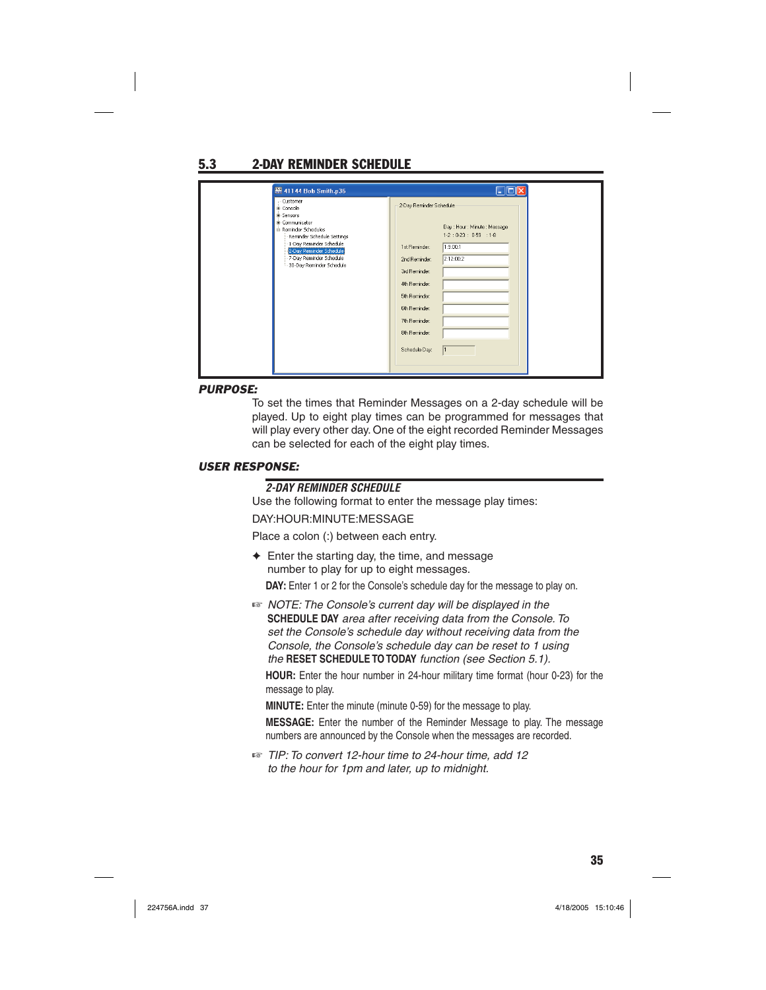# 5.3 2-DAY REMINDER SCHEDULE

| 图 41144 Bob Smith.p36                                                                                                                                                                                                         | $\Box$ er                                                                                                                                                                                                                                                            |
|-------------------------------------------------------------------------------------------------------------------------------------------------------------------------------------------------------------------------------|----------------------------------------------------------------------------------------------------------------------------------------------------------------------------------------------------------------------------------------------------------------------|
| Customer<br>+ Console<br><b>H</b> -Sensors<br>+ Communicator<br>Reminder Schedules<br>Reminder Schedule Settings<br>1-Day Reminder Schedule<br>2-Day Reminder Schedule<br>7-Day Reminder Schedule<br>30-Day Reminder Schedule | 2-Day Reminder Schedule<br>Day: Hour: Minute: Message<br>$1-2:0-23:0-59:1-8$<br>1:9:00:1<br>1st Reminder:<br>2:12:00:2<br>2nd Reminder:<br>3rd Reminder:<br>4th Reminder:<br>5th Reminder:<br>6th Reminder:<br>7th Reminder:<br>8th Reminder:<br>Schedule Day:<br>l1 |

#### *PURPOSE:*

To set the times that Reminder Messages on a 2-day schedule will be played. Up to eight play times can be programmed for messages that will play every other day. One of the eight recorded Reminder Messages can be selected for each of the eight play times.

### *USER RESPONSE:*

### *2-DAY REMINDER SCHEDULE*

Use the following format to enter the message play times:

#### DAY:HOUR:MINUTE:MESSAGE

Place a colon (:) between each entry.

- $\triangleleft$  Enter the starting day, the time, and message number to play for up to eight messages. **DAY:** Enter 1 or 2 for the Console's schedule day for the message to play on.
- ☞ *NOTE: The Console's current day will be displayed in the*  **SCHEDULE DAY** *area after receiving data from the Console. To set the Console's schedule day without receiving data from the Console, the Console's schedule day can be reset to 1 using the* **RESET SCHEDULE TO TODAY** *function (see Section 5.1).*

**HOUR:** Enter the hour number in 24-hour military time format (hour 0-23) for the message to play.

**MINUTE:** Enter the minute (minute 0-59) for the message to play.

**MESSAGE:** Enter the number of the Reminder Message to play. The message numbers are announced by the Console when the messages are recorded.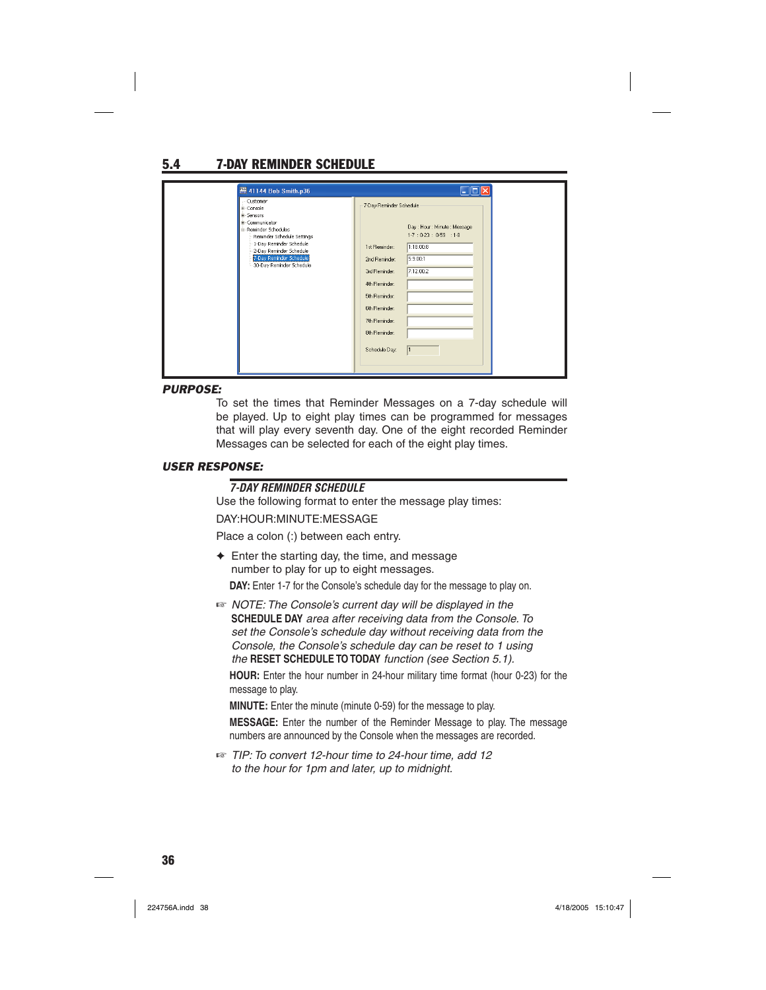# 5.4 7-DAY REMINDER SCHEDULE

| 图 41144 Bob Smith.p36                                                                                                                                                                                                            | Fiel                                                                                                                                                                                                                                                                            |
|----------------------------------------------------------------------------------------------------------------------------------------------------------------------------------------------------------------------------------|---------------------------------------------------------------------------------------------------------------------------------------------------------------------------------------------------------------------------------------------------------------------------------|
| Customer<br>ii-Console<br><b>ii</b> -Sensors<br>#-Communicator<br>Reminder Schedules<br>Reminder Schedule Settings<br>1-Day Reminder Schedule<br>2-Day Reminder Schedule<br>7-Day Reminder Schedule<br>-30-Day Reminder Schedule | 7-Day Reminder Schedule<br>Day: Hour: Minute: Message<br>1.7:0.23:0.59:1.8<br>1:18:00:8<br>1st Reminder:<br>5:9:00:1<br>2nd Reminder:<br>7:12:00:2<br>3rd Reminder:<br>4th Reminder:<br>5th Reminder:<br>6th Reminder:<br>7th Reminder:<br>8th Reminder:<br>Schedule Day:<br>l1 |

#### *PURPOSE:*

To set the times that Reminder Messages on a 7-day schedule will be played. Up to eight play times can be programmed for messages that will play every seventh day. One of the eight recorded Reminder Messages can be selected for each of the eight play times.

### *USER RESPONSE:*

#### *7-DAY REMINDER SCHEDULE*

Use the following format to enter the message play times:

#### DAY:HOUR:MINUTE:MESSAGE

Place a colon (:) between each entry.

 $\triangleleft$  Enter the starting day, the time, and message number to play for up to eight messages.

**DAY:** Enter 1-7 for the Console's schedule day for the message to play on.

☞ *NOTE: The Console's current day will be displayed in the*  **SCHEDULE DAY** *area after receiving data from the Console. To set the Console's schedule day without receiving data from the Console, the Console's schedule day can be reset to 1 using the* **RESET SCHEDULE TO TODAY** *function (see Section 5.1).*

**HOUR:** Enter the hour number in 24-hour military time format (hour 0-23) for the message to play.

**MINUTE:** Enter the minute (minute 0-59) for the message to play.

**MESSAGE:** Enter the number of the Reminder Message to play. The message numbers are announced by the Console when the messages are recorded.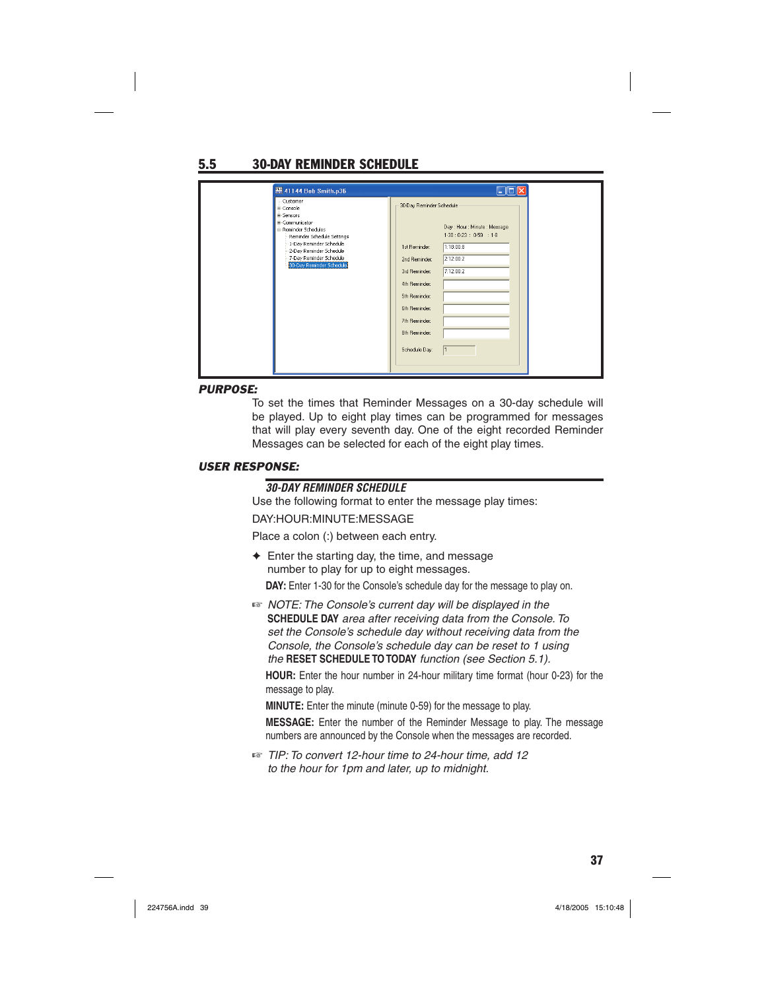# 5.5 30-DAY REMINDER SCHEDULE

| 图 41144 Bob Smith.p36                                                                                                                                                                                                            | <b> - 101</b>                                                                                                                                                                                                                                                                      |
|----------------------------------------------------------------------------------------------------------------------------------------------------------------------------------------------------------------------------------|------------------------------------------------------------------------------------------------------------------------------------------------------------------------------------------------------------------------------------------------------------------------------------|
| Customer<br>#-Console<br><b>il-Sensors</b><br>#-Communicator<br>E-Reminder Schedules<br>Reminder Schedule Settings<br>-1-Day Reminder Schedule<br>2-Day Reminder Schedule<br>7-Day Reminder Schedule<br>30-Day Reminder Schedule | 30-Day Reminder Schedule<br>Day: Hour: Minute: Message<br>1.30:0.23:0.59:1.8<br>1:18:00:8<br>1st Reminder:<br>2:12:00:2<br>2nd Reminder:<br>7:12:00:2<br>3rd Reminder:<br>4th Reminder:<br>5th Reminder:<br>6th Reminder:<br>7th Reminder:<br>8th Reminder:<br>Schedule Day:<br>11 |

#### *PURPOSE:*

To set the times that Reminder Messages on a 30-day schedule will be played. Up to eight play times can be programmed for messages that will play every seventh day. One of the eight recorded Reminder Messages can be selected for each of the eight play times.

### *USER RESPONSE:*

### *30-DAY REMINDER SCHEDULE*

Use the following format to enter the message play times:

#### DAY:HOUR:MINUTE:MESSAGE

Place a colon (:) between each entry.

- $\triangle$  Enter the starting day, the time, and message number to play for up to eight messages. **DAY:** Enter 1-30 for the Console's schedule day for the message to play on.
- ☞ *NOTE: The Console's current day will be displayed in the*  **SCHEDULE DAY** *area after receiving data from the Console. To set the Console's schedule day without receiving data from the Console, the Console's schedule day can be reset to 1 using the* **RESET SCHEDULE TO TODAY** *function (see Section 5.1).*

**HOUR:** Enter the hour number in 24-hour military time format (hour 0-23) for the message to play.

**MINUTE:** Enter the minute (minute 0-59) for the message to play.

**MESSAGE:** Enter the number of the Reminder Message to play. The message numbers are announced by the Console when the messages are recorded.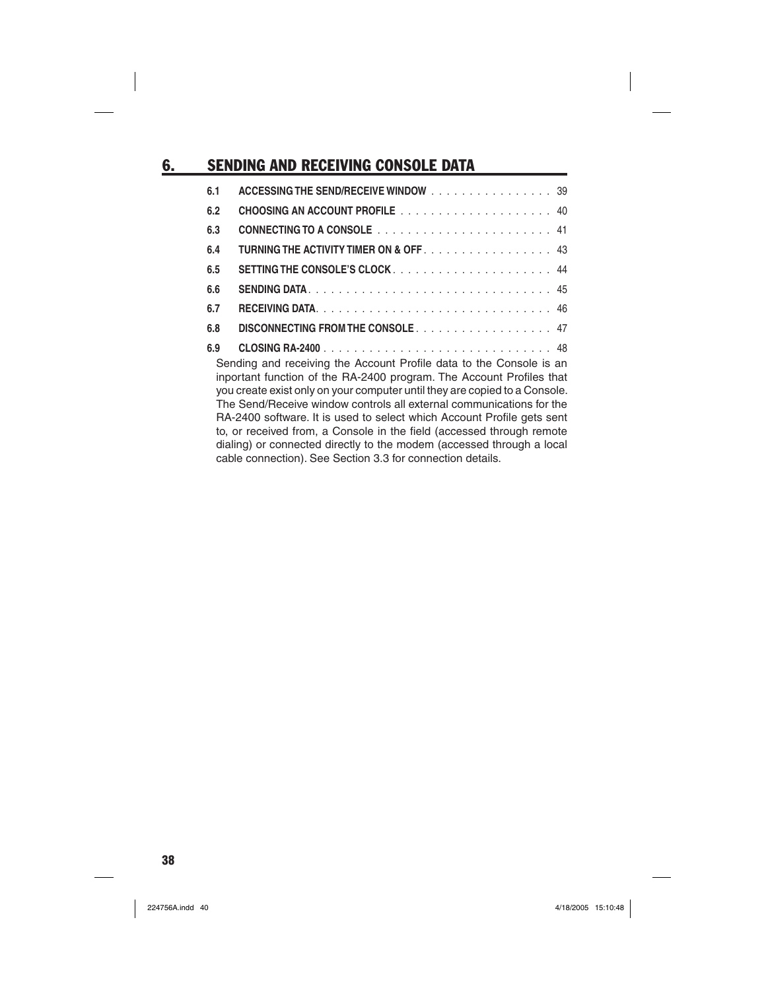# **6. SENDING AND RECEIVING CONSOLE DATA**

| 6.1 | ACCESSING THE SEND/RECEIVE WINDOW 39                                                                                                                                                                                                                                                                                                                                                                                                                                                                                                                                                        |
|-----|---------------------------------------------------------------------------------------------------------------------------------------------------------------------------------------------------------------------------------------------------------------------------------------------------------------------------------------------------------------------------------------------------------------------------------------------------------------------------------------------------------------------------------------------------------------------------------------------|
| 6.2 |                                                                                                                                                                                                                                                                                                                                                                                                                                                                                                                                                                                             |
| 6.3 |                                                                                                                                                                                                                                                                                                                                                                                                                                                                                                                                                                                             |
| 6.4 | <b>TURNING THE ACTIVITY TIMER ON &amp; OFF43</b>                                                                                                                                                                                                                                                                                                                                                                                                                                                                                                                                            |
| 6.5 |                                                                                                                                                                                                                                                                                                                                                                                                                                                                                                                                                                                             |
| 6.6 |                                                                                                                                                                                                                                                                                                                                                                                                                                                                                                                                                                                             |
| 6.7 |                                                                                                                                                                                                                                                                                                                                                                                                                                                                                                                                                                                             |
| 6.8 | DISCONNECTING FROM THE CONSOLE 47                                                                                                                                                                                                                                                                                                                                                                                                                                                                                                                                                           |
| 6.9 |                                                                                                                                                                                                                                                                                                                                                                                                                                                                                                                                                                                             |
|     | Sending and receiving the Account Profile data to the Console is an<br>inportant function of the RA-2400 program. The Account Profiles that<br>you create exist only on your computer until they are copied to a Console.<br>The Send/Receive window controls all external communications for the<br>RA-2400 software. It is used to select which Account Profile gets sent<br>to, or received from, a Console in the field (accessed through remote<br>dialing) or connected directly to the modem (accessed through a local<br>cable connection). See Section 3.3 for connection details. |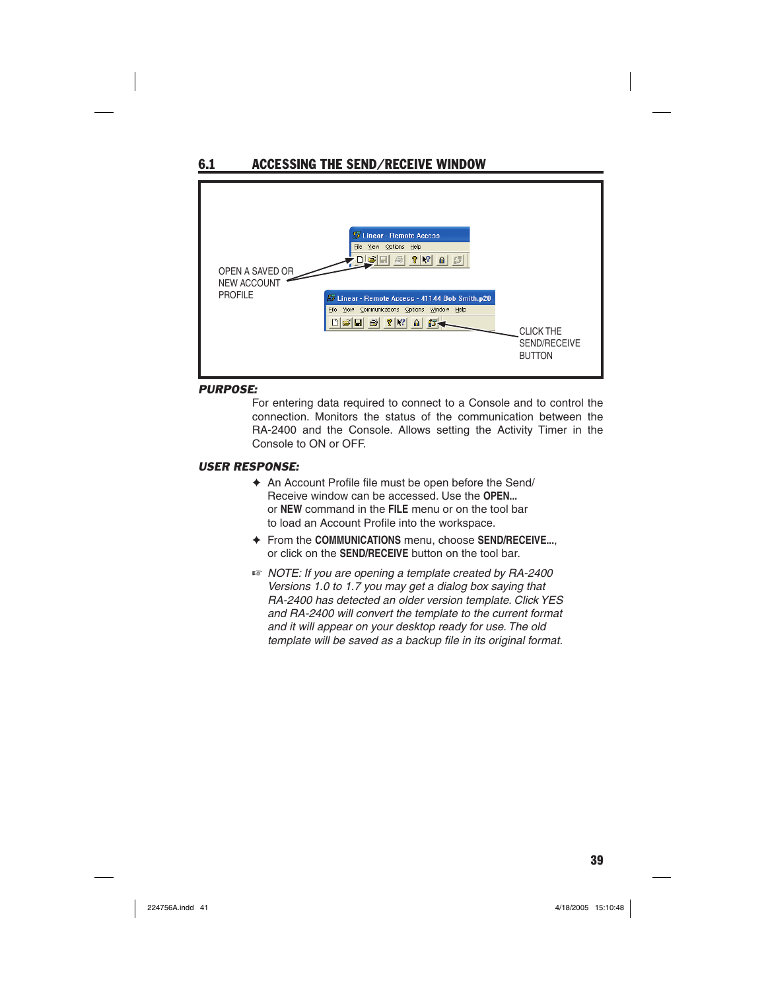

#### *PURPOSE:*

For entering data required to connect to a Console and to control the connection. Monitors the status of the communication between the RA-2400 and the Console. Allows setting the Activity Timer in the Console to ON or OFF.

- $\triangleq$  An Account Profile file must be open before the Send/ Receive window can be accessed. Use the **OPEN...** or **NEW** command in the **FILE** menu or on the tool bar to load an Account Profile into the workspace.
- ✦ From the **COMMUNICATIONS** menu, choose **SEND/RECEIVE...**, or click on the **SEND/RECEIVE** button on the tool bar.
- ☞ *NOTE: If you are opening a template created by RA-2400 Versions 1.0 to 1.7 you may get a dialog box saying that RA-2400 has detected an older version template. Click YES and RA-2400 will convert the template to the current format and it will appear on your desktop ready for use. The old template will be saved as a backup file in its original format.*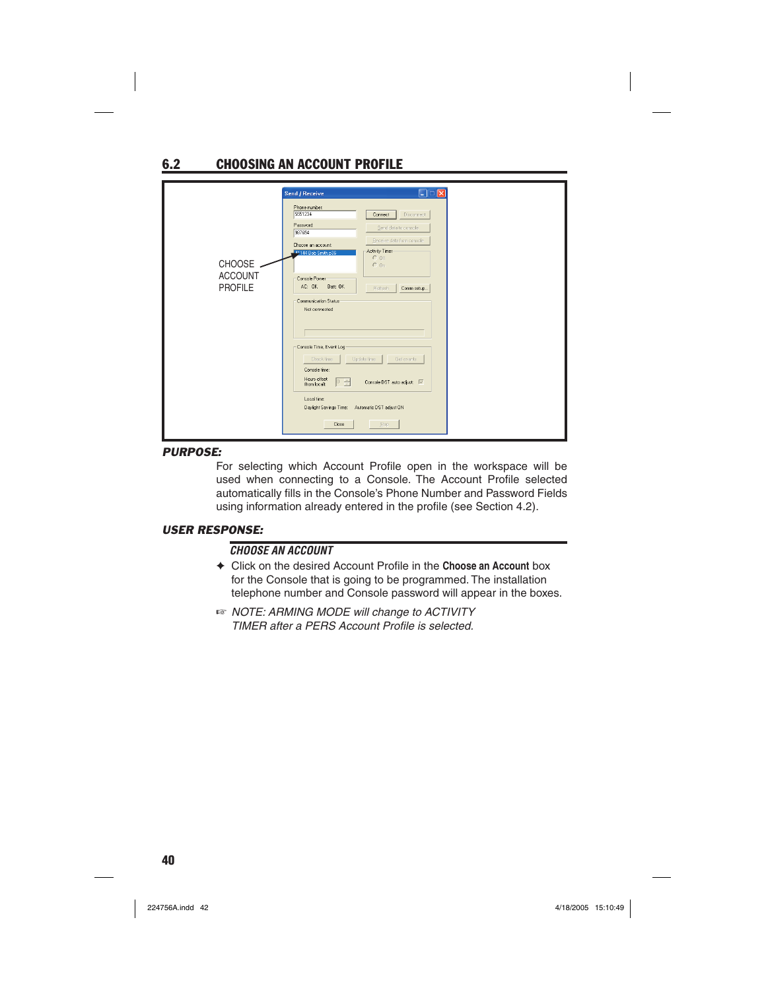# 6.2 CHOOSING AN ACCOUNT PROFILE

| $\Box$ $\times$<br>Send / Receive<br>Phone number:<br>5551234<br>Disconnect<br>Connect<br>Password:<br>Send data to console<br>987654<br>Receive data from console<br>Choose an account:<br>Activity Timer-<br>41144 Bob Smith.p36<br>$C$ Off<br>CHOOSE -<br>$C_0n$<br><b>ACCOUNT</b><br>Console Power<br>Batt: OK<br><b>PROFILE</b><br>AC: OK<br>Comm setup<br>Refresh<br>Communication Status<br>Not connected<br>Console Time, Event Log<br>Update time<br>Check time<br>Get events<br>Console time:<br>Hours offset<br>$0 \frac{z}{x}$<br>Console DST auto adjust: M<br>ffrom locall:<br>Local time:<br>Daylight Savings Time:<br>Automatic DST adjust ON |                      |  |
|---------------------------------------------------------------------------------------------------------------------------------------------------------------------------------------------------------------------------------------------------------------------------------------------------------------------------------------------------------------------------------------------------------------------------------------------------------------------------------------------------------------------------------------------------------------------------------------------------------------------------------------------------------------|----------------------|--|
|                                                                                                                                                                                                                                                                                                                                                                                                                                                                                                                                                                                                                                                               |                      |  |
|                                                                                                                                                                                                                                                                                                                                                                                                                                                                                                                                                                                                                                                               | <b>Stop</b><br>Close |  |

#### *PURPOSE:*

For selecting which Account Profile open in the workspace will be used when connecting to a Console. The Account Profile selected automatically fills in the Console's Phone Number and Password Fields using information already entered in the profile (see Section 4.2).

#### *USER RESPONSE:*

### *CHOOSE AN ACCOUNT*

- **← Click on the desired Account Profile in the Choose an Account box** for the Console that is going to be programmed. The installation telephone number and Console password will appear in the boxes.
- ☞ *NOTE: ARMING MODE will change to ACTIVITY*  **TIMER after a PERS Account Profile is selected.**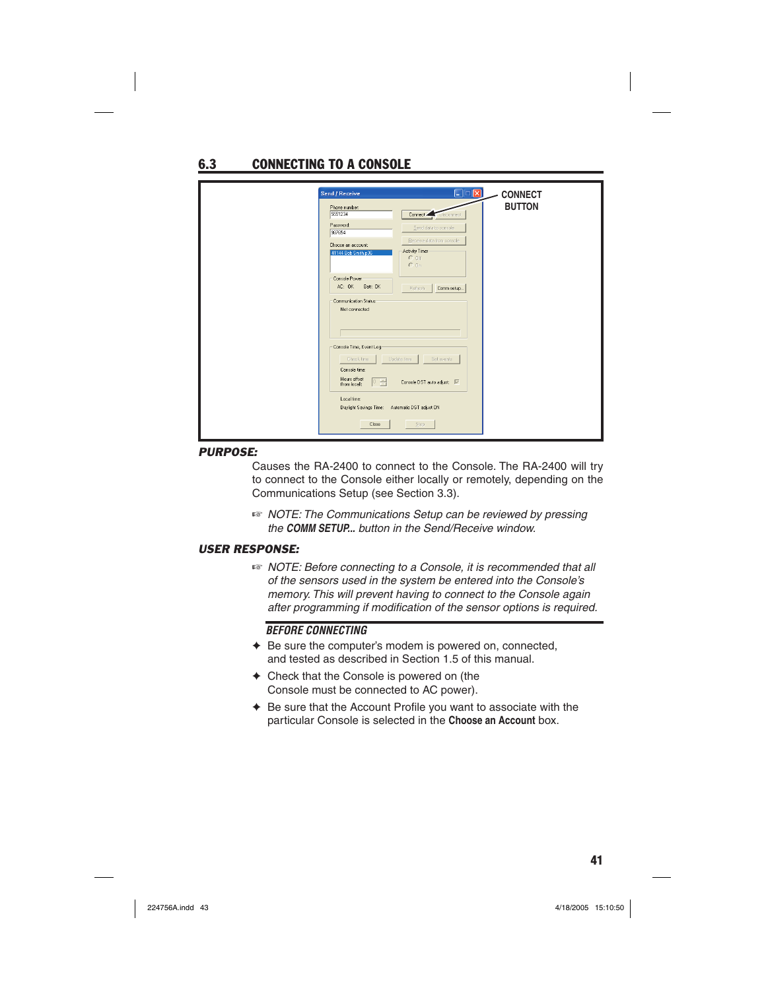# 6.3 CONNECTING TO A CONSOLE

| Send / Receive<br>$\mathbf{X}$<br>Elo<br>Phone number:<br>5551234<br>Connect Uisconnect<br>Password:<br>Send data to console<br>987654<br>Receive data from console<br>Choose an account:<br>Activity Timer-<br>41144 Bob Smith.p36<br>$C$ Off<br>$C_0n$<br>Console Power<br>AC: OK<br>Batt: OK<br>Refresh<br>Comm setup | <b>CONNECT</b><br><b>BUTTON</b> |
|--------------------------------------------------------------------------------------------------------------------------------------------------------------------------------------------------------------------------------------------------------------------------------------------------------------------------|---------------------------------|
| Communication Status<br>Not connected                                                                                                                                                                                                                                                                                    |                                 |
| Console Time, Event Log<br>Check time<br>Update time<br>Get events<br>Console time:<br>Hours offset<br>이 승<br>Console DST auto adjust: V<br>ffrom locall:                                                                                                                                                                |                                 |
| Local time:<br>Daylight Savings Time:<br>Automatic DST adjust ON<br><b>Stop</b><br>Close                                                                                                                                                                                                                                 |                                 |

#### *PURPOSE:*

Causes the RA-2400 to connect to the Console. The RA-2400 will try to connect to the Console either locally or remotely, depending on the Communications Setup (see Section 3.3).

☞ *NOTE: The Communications Setup can be reviewed by pressing the COMM SETUP... button in the Send/Receive window.*

#### *USER RESPONSE:*

☞ *NOTE: Before connecting to a Console, it is recommended that all of the sensors used in the system be entered into the Console's memory. This will prevent having to connect to the Console again*  after programming if modification of the sensor options is required.

#### *BEFORE CONNECTING*

- ✦ Be sure the computer's modem is powered on, connected, and tested as described in Section 1.5 of this manual.
- ✦ Check that the Console is powered on (the Console must be connected to AC power).
- $\triangle$  Be sure that the Account Profile you want to associate with the particular Console is selected in the **Choose an Account** box.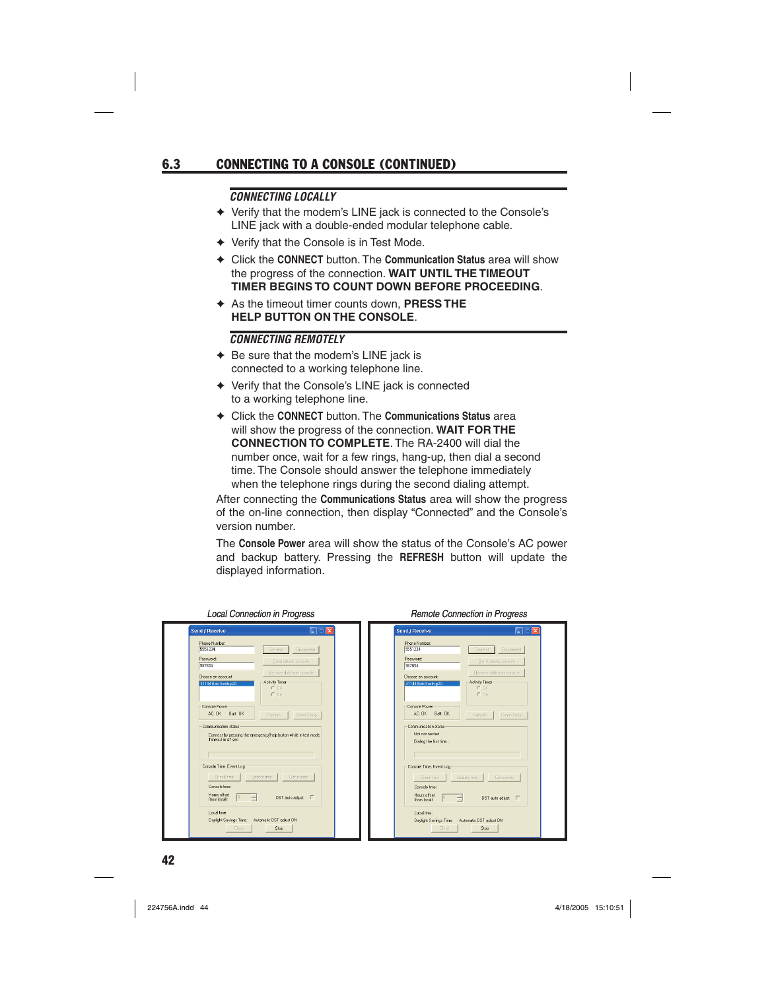# 6.3 CONNECTING TO A CONSOLE (CONTINUED)

#### *CONNECTING LOCALLY*

- ✦ Verify that the modem's LINE jack is connected to the Console's LINE jack with a double-ended modular telephone cable.
- ✦ Verify that the Console is in Test Mode.
- ✦ Click the **CONNECT** button. The **Communication Status** area will show the progress of the connection. **WAIT UNTIL THE TIMEOUT TIMER BEGINS TO COUNT DOWN BEFORE PROCEEDING**.
- ✦ As the timeout timer counts down, **PRESS THE HELP BUTTON ON THE CONSOLE**.

#### *CONNECTING REMOTELY*

- ✦ Be sure that the modem's LINE jack is connected to a working telephone line.
- ✦ Verify that the Console's LINE jack is connected to a working telephone line.
- ✦ Click the **CONNECT** button. The **Communications Status** area will show the progress of the connection. **WAIT FOR THE CONNECTION TO COMPLETE**. The RA-2400 will dial the number once, wait for a few rings, hang-up, then dial a second time. The Console should answer the telephone immediately when the telephone rings during the second dialing attempt.

After connecting the **Communications Status** area will show the progress of the on-line connection, then display "Connected" and the Console's version number.

The **Console Power** area will show the status of the Console's AC power and backup battery. Pressing the **REFRESH** button will update the displayed information.

| E<br>б<br>$\overline{\mathbf{x}}$<br>Send / Receive                               | $\Box$<br>Send / Receive<br>Ιx                                                 |
|-----------------------------------------------------------------------------------|--------------------------------------------------------------------------------|
| Phone Number:                                                                     | Phone Number:                                                                  |
| 5551234                                                                           | 5551234                                                                        |
| Disconnect                                                                        | Disconnect                                                                     |
| Connect                                                                           | Connect                                                                        |
| Password:                                                                         | Password:                                                                      |
| Send data to console                                                              | Send data to console                                                           |
| 987654                                                                            | 987654                                                                         |
| Receive data from console.                                                        | Receive data from console                                                      |
| Choose an account:                                                                | Choose an account:                                                             |
| Activity Timer                                                                    | Activity Timer                                                                 |
| 41144 Bob Smith.p20                                                               | 41144 Bob Smith p20                                                            |
| $C$ BB                                                                            | $C$ Off                                                                        |
| C <sub>0n</sub>                                                                   | $C$ On                                                                         |
| Console Power                                                                     | Console Power                                                                  |
| AC: OK Batt: OK                                                                   | AC: OK Batt: OK                                                                |
| Comm Setup.                                                                       | Comm Setup.                                                                    |
| <b>Refresh</b>                                                                    | Refresh                                                                        |
| Communication status                                                              | Communication status                                                           |
| Connect by pressing the emergency/help button while in test mode.                 | Not connected                                                                  |
| Timenut in 47 sec.                                                                | Dialing the first time                                                         |
| Console Time, Event Log                                                           | Console Time, Event Log                                                        |
| Update time                                                                       | Check time                                                                     |
| Check time                                                                        | Update time                                                                    |
| Get events                                                                        | Get events                                                                     |
| Console time:                                                                     | Console time:                                                                  |
| Hours offset                                                                      | Hours offset                                                                   |
| $\div$                                                                            | 곡                                                                              |
| DST auto adjust: $\Box$                                                           | DST auto adjust $\Box$                                                         |
| ffrom localt                                                                      | ffrom locall:                                                                  |
| Local time:<br>Daylight Savings Time:<br>Automatic DST adjust ON<br>Close<br>Stop | Local time:<br>Daylight Savings Time: Automatic DST adjust DN<br>Close<br>Stop |

#### *Local Connection in Progress Remote Connection in Progress*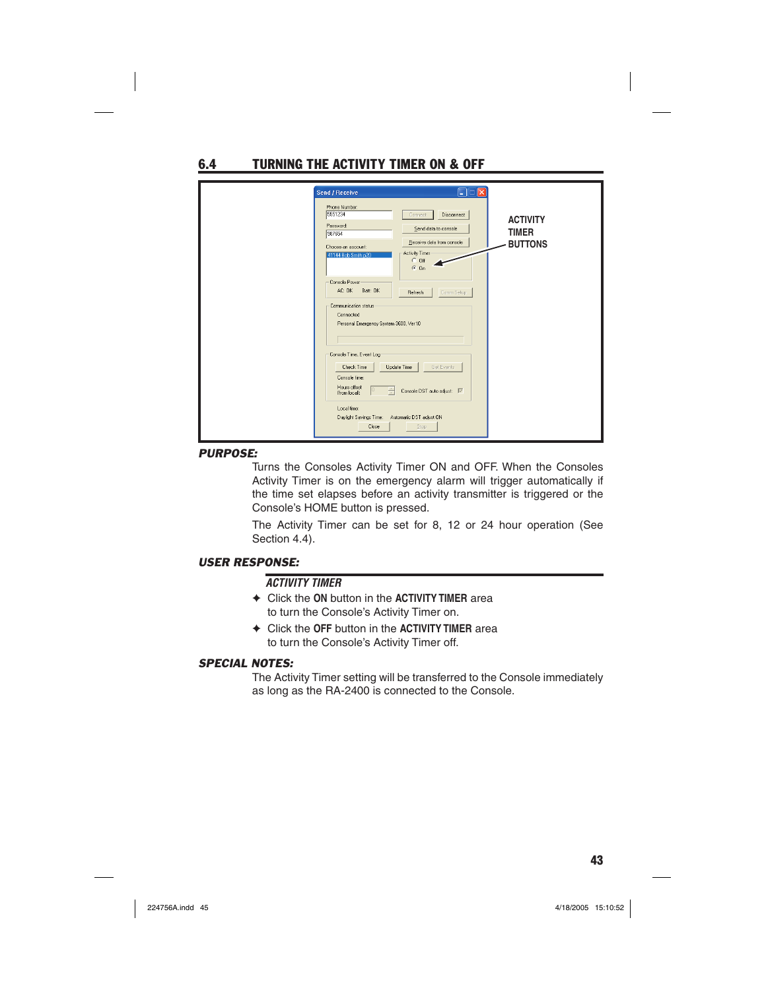6.4 TURNING THE ACTIVITY TIMER ON & OFF

| $\Box$ $\Box$ $\boxtimes$<br>Send / Receive                                                                                                                                                                                                                                                                                                                     |                                                   |
|-----------------------------------------------------------------------------------------------------------------------------------------------------------------------------------------------------------------------------------------------------------------------------------------------------------------------------------------------------------------|---------------------------------------------------|
| Phone Number:<br>5551234<br>Disconnect<br>Connect<br>Password:<br>Send data to console<br>987654<br>Receive data from console<br>Choose an account:<br>Activity Timer<br>41144 Bob Smith.p20<br>$C$ Off<br>$G$ On<br>Console Power<br>AC: OK<br>Batt: OK<br>Comm Setup<br>Refresh<br>Communication status<br>Connected<br>Personal Emergency System 3600, Ver10 | <b>ACTIVITY</b><br><b>TIMER</b><br><b>BUTTONS</b> |
| Console Time, Event Log<br>Update Time<br>Check Time<br>Get Events<br>Console time:<br>Hours offset<br>10<br>Console DST auto adjust $\overline{\mathbb{R}}$<br>÷<br>ffrom local):<br>Local time:<br>Daylight Savings Time:<br>Automatic DST adjust ON<br>Close<br>Stop                                                                                         |                                                   |

#### *PURPOSE:*

Turns the Consoles Activity Timer ON and OFF. When the Consoles Activity Timer is on the emergency alarm will trigger automatically if the time set elapses before an activity transmitter is triggered or the Console's HOME button is pressed.

The Activity Timer can be set for 8, 12 or 24 hour operation (See Section 4.4).

### *USER RESPONSE:*

### *ACTIVITY TIMER*

- ✦ Click the **ON** button in the **ACTIVITY TIMER** area to turn the Console's Activity Timer on.
- ✦ Click the **OFF** button in the **ACTIVITY TIMER** area to turn the Console's Activity Timer off.

#### *SPECIAL NOTES:*

The Activity Timer setting will be transferred to the Console immediately as long as the RA-2400 is connected to the Console.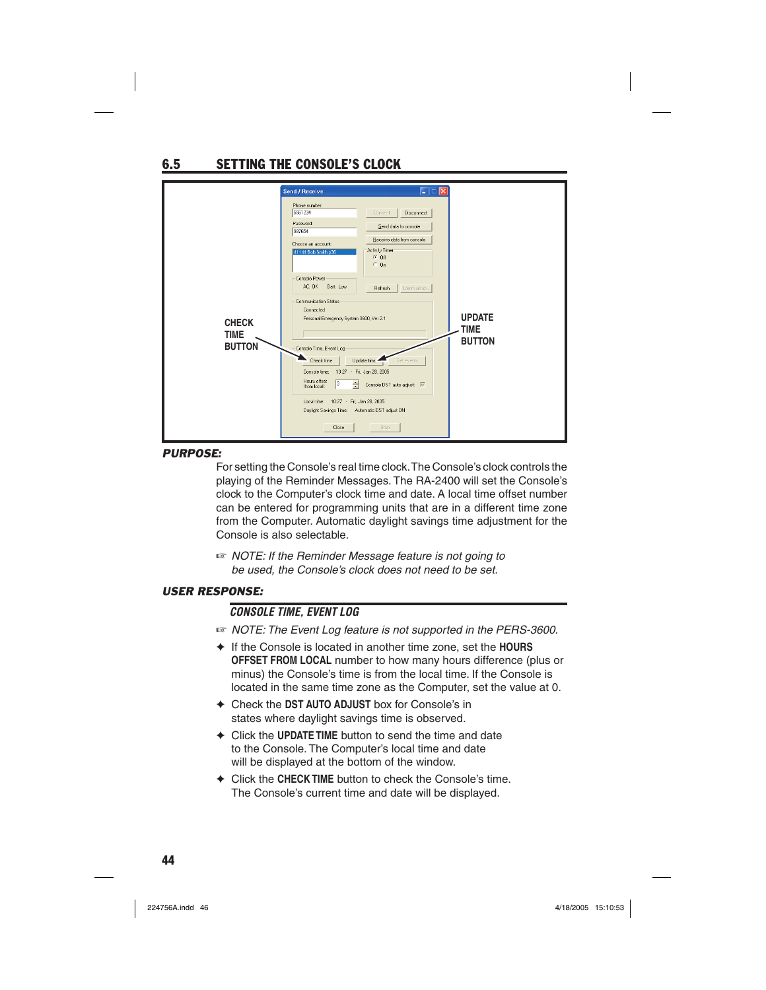# 6.5 SETTING THE CONSOLE'S CLOCK

|                                              | Send / Receive                                                                                                                                                                                                                                                                                                                                                                                                                                                            | $\square\square$                                                                                                                                                                                                            |                                        |
|----------------------------------------------|---------------------------------------------------------------------------------------------------------------------------------------------------------------------------------------------------------------------------------------------------------------------------------------------------------------------------------------------------------------------------------------------------------------------------------------------------------------------------|-----------------------------------------------------------------------------------------------------------------------------------------------------------------------------------------------------------------------------|----------------------------------------|
| <b>CHECK</b><br><b>TIME</b><br><b>BUTTON</b> | Phone number:<br>5551234<br>Password:<br>987654<br>Choose an account<br>41144 Bob Smith.p36<br>Console Power<br>AC: OK<br>Batt: Low<br>Communication Status<br>Connected<br>Personal Emergency System 3600, Ver 2.1<br>- Console Time, Event Log-<br>Check time<br>Console time: 13:27 - Fri, Jan 28, 2005<br>Hours offset<br>$\sqrt{3}$<br>÷<br>ffrom locall:<br>Local time: 10:27 - Fri, Jan 28, 2005<br>Daylight Savings Time: Automatic DST adjust DN<br><b>Close</b> | Disconnect<br>Connect<br>Send data to console<br>Receive data from console<br>Activity Timer<br>$G$ Off<br>$C_0$ On<br>Comm setup<br>Refresh<br>Update time. <sup>4</sup><br>Get events<br>Console DST auto adjust:<br>Stop | <b>UPDATE</b><br>TIME<br><b>BUTTON</b> |

#### *PURPOSE:*

For setting the Console's real time clock. The Console's clock controls the playing of the Reminder Messages. The RA-2400 will set the Console's clock to the Computer's clock time and date. A local time offset number can be entered for programming units that are in a different time zone from the Computer. Automatic daylight savings time adjustment for the Console is also selectable.

☞ *NOTE: If the Reminder Message feature is not going to be used, the Console's clock does not need to be set.*

### *USER RESPONSE:*

### *CONSOLE TIME, EVENT LOG*

- ☞ *NOTE: The Event Log feature is not supported in the PERS-3600.*
- ✦ If the Console is located in another time zone, set the **HOURS OFFSET FROM LOCAL** number to how many hours difference (plus or minus) the Console's time is from the local time. If the Console is located in the same time zone as the Computer, set the value at 0.
- ✦ Check the **DST AUTO ADJUST** box for Console's in states where daylight savings time is observed.
- ✦ Click the **UPDATE TIME** button to send the time and date to the Console. The Computer's local time and date will be displayed at the bottom of the window.
- ✦ Click the **CHECK TIME** button to check the Console's time. The Console's current time and date will be displayed.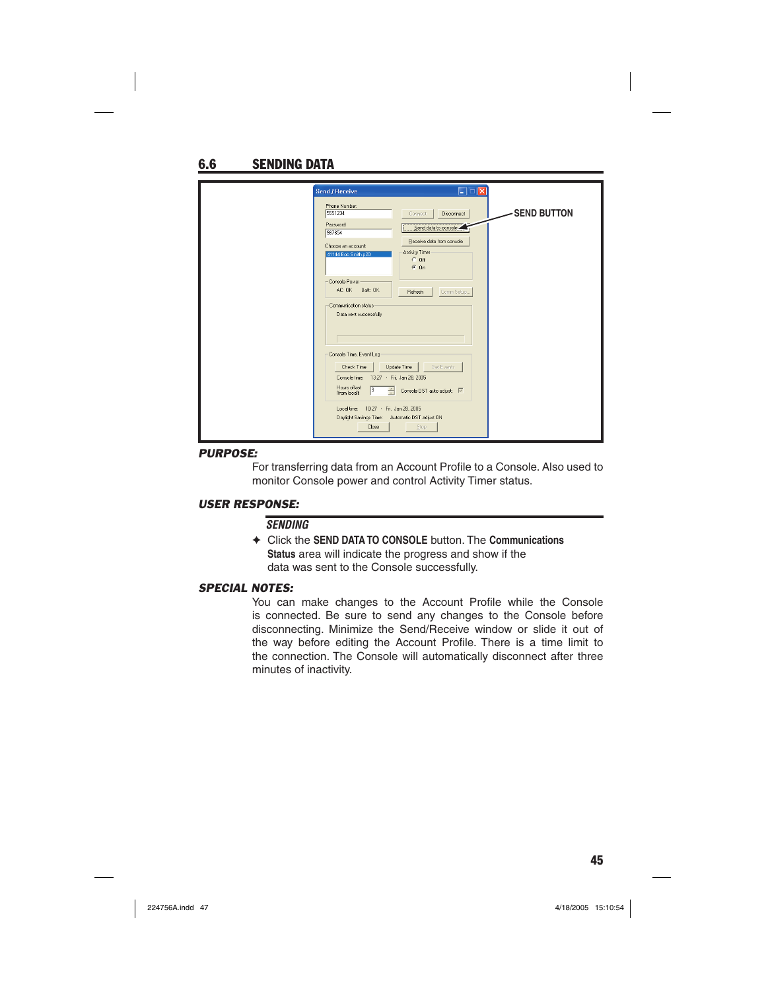| Send / Receive                                                                                                                     | E (C                                                             |                    |
|------------------------------------------------------------------------------------------------------------------------------------|------------------------------------------------------------------|--------------------|
| Phone Number:<br>5551234                                                                                                           | Disconnect<br>Connect.                                           | <b>SEND BUTTON</b> |
| Password:<br>987654                                                                                                                | Send data to console                                             |                    |
| Choose an account:<br>41144 Bob Smith.p20                                                                                          | Receive data from console<br>Activity Timer<br>$C$ Off<br>$G$ On |                    |
| Console Power<br>AC: OK Batt: OK                                                                                                   | Refresh<br>Comm Setup.                                           |                    |
| Communication status:<br>Data sent successfully                                                                                    |                                                                  |                    |
| Console Time, Event Log<br>Check Time<br>Console time: 13:27 - Fri, Jan 28, 2005<br>Hours offset<br>$\sqrt{3}$<br>高<br>from localt | Update Time<br>Get Events<br>Console DST auto adjust:            |                    |
| Local time: 10:27 - Fri, Jan 28, 2005<br>Daylight Savings Time: Automatic DST adjust ON<br>Close                                   | Stop                                                             |                    |

#### *PURPOSE:*

For transferring data from an Account Profile to a Console. Also used to monitor Console power and control Activity Timer status.

#### *USER RESPONSE:*

#### *SENDING*

✦ Click the **SEND DATA TO CONSOLE** button. The **Communications Status** area will indicate the progress and show if the data was sent to the Console successfully.

#### *SPECIAL NOTES:*

You can make changes to the Account Profile while the Console is connected. Be sure to send any changes to the Console before disconnecting. Minimize the Send/Receive window or slide it out of the way before editing the Account Profile. There is a time limit to the connection. The Console will automatically disconnect after three minutes of inactivity.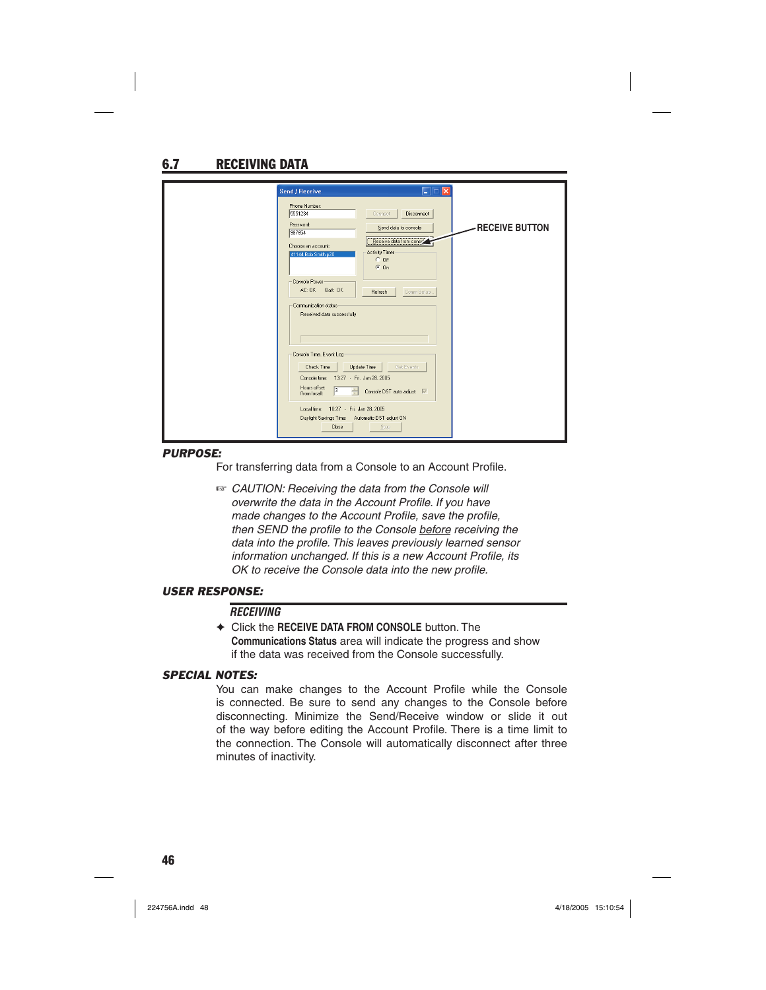# 6.7 RECEIVING DATA

| Send / Receive                                                                          | $\blacksquare$ lo                                     |                 |
|-----------------------------------------------------------------------------------------|-------------------------------------------------------|-----------------|
| Phone Number:<br>5551234                                                                | <b>Disconnect</b><br>Connect                          |                 |
| Password<br>987654                                                                      | Send data to console                                  | -RECEIVE BUTTON |
| Choose an account:<br>41144 Bob Smith.p20                                               | Receive data from conso'<br>Activity Timer<br>$C$ Off |                 |
| Console Power                                                                           | $C_0$                                                 |                 |
| AC: OK Batt: OK                                                                         | Refresh<br>Comm Setup                                 |                 |
| Communication status<br>Received data successfully                                      |                                                       |                 |
|                                                                                         |                                                       |                 |
| Console Time, Event Log                                                                 |                                                       |                 |
| Check Time<br>Console time: 13:27 - Fri, Jan 28, 2005                                   | Update Time<br>Get Events                             |                 |
| Hours offset<br>$\overline{3}$<br>÷<br>from locall:                                     | Console DST auto adjust: V                            |                 |
| Local time: 10:27 - Fri. Jan 28, 2005<br>Daylight Savings Time: Automatic DST adjust DN |                                                       |                 |
| <b>Close</b>                                                                            | Stop:                                                 |                 |

#### *PURPOSE:*

For transferring data from a Console to an Account Profile.

☞ *CAUTION: Receiving the data from the Console will overwrite the data in the Account Profile. If you have made changes to the Account Profile, save the profile, then SEND the profile to the Console before receiving the* data into the profile. This leaves previously learned sensor *information unchanged. If this is a new Account Profile, its OK to receive the Console data into the new profile.* 

#### *USER RESPONSE:*

#### *RECEIVING*

✦ Click the **RECEIVE DATA FROM CONSOLE** button. The **Communications Status** area will indicate the progress and show if the data was received from the Console successfully.

#### *SPECIAL NOTES:*

You can make changes to the Account Profile while the Console is connected. Be sure to send any changes to the Console before disconnecting. Minimize the Send/Receive window or slide it out of the way before editing the Account Profile. There is a time limit to the connection. The Console will automatically disconnect after three minutes of inactivity.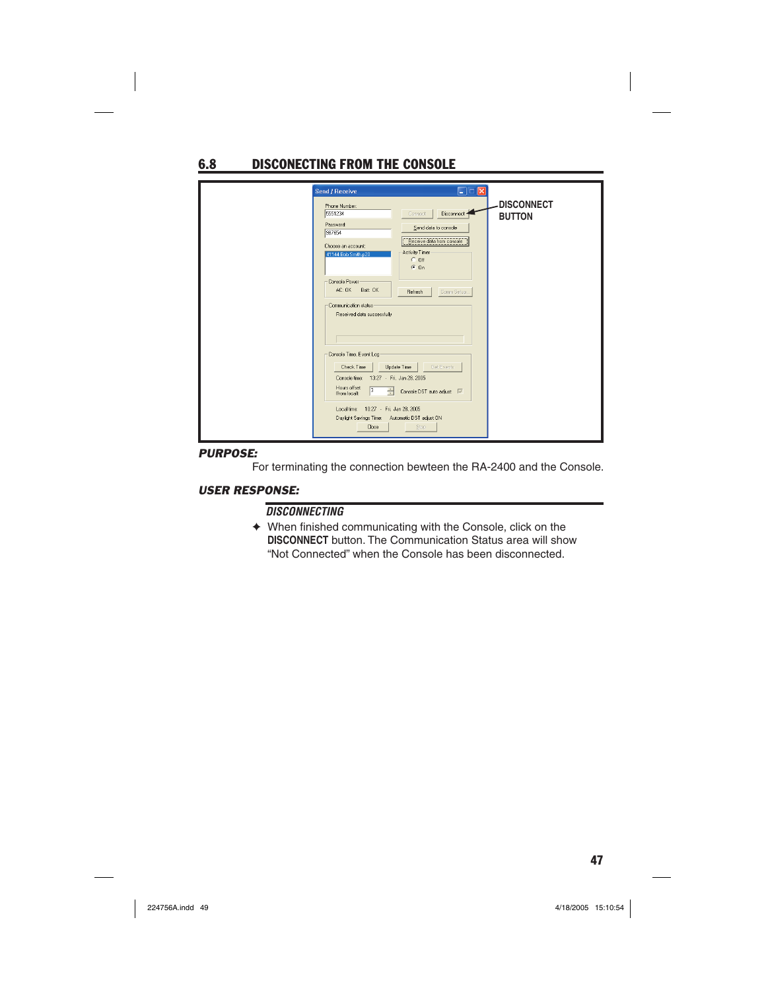# 6.8 DISCONECTING FROM THE CONSOLE

| Send / Receive                                                                                                                      | Eio                                                              |                                    |
|-------------------------------------------------------------------------------------------------------------------------------------|------------------------------------------------------------------|------------------------------------|
| Phone Number:<br>5551234                                                                                                            | Disconnect 4<br>Connect.                                         | <b>DISCONNECT</b><br><b>BUTTON</b> |
| Password:<br>987654                                                                                                                 | Send data to console                                             |                                    |
| Choose an account:<br>41144 Bob Smith.p20                                                                                           | Receive data from console<br>Activity Timer<br>$C$ Off<br>$G$ On |                                    |
| Console Power<br>AC: OK Batt: OK                                                                                                    | Refresh<br>Comm Setup                                            |                                    |
| Communication status<br>Received data successfully                                                                                  |                                                                  |                                    |
| Console Time, Event Log<br>Check Time<br>Console time: 13:27 - Fri, Jan 28, 2005<br>Hours offset<br>$\sqrt{3}$<br>÷<br>from locall: | Update Time<br>Get Events<br>Console DST auto adjust:   √        |                                    |
| Local time: 10:27 - Fri, Jan 28, 2005<br>Daylight Savings Time: Automatic DST adjust DN<br>Close                                    | Stop                                                             |                                    |

### *PURPOSE:*

For terminating the connection bewteen the RA-2400 and the Console.

#### *USER RESPONSE:*

### *DISCONNECTING*

 $\blacklozenge$  When finished communicating with the Console, click on the **DISCONNECT** button. The Communication Status area will show "Not Connected" when the Console has been disconnected.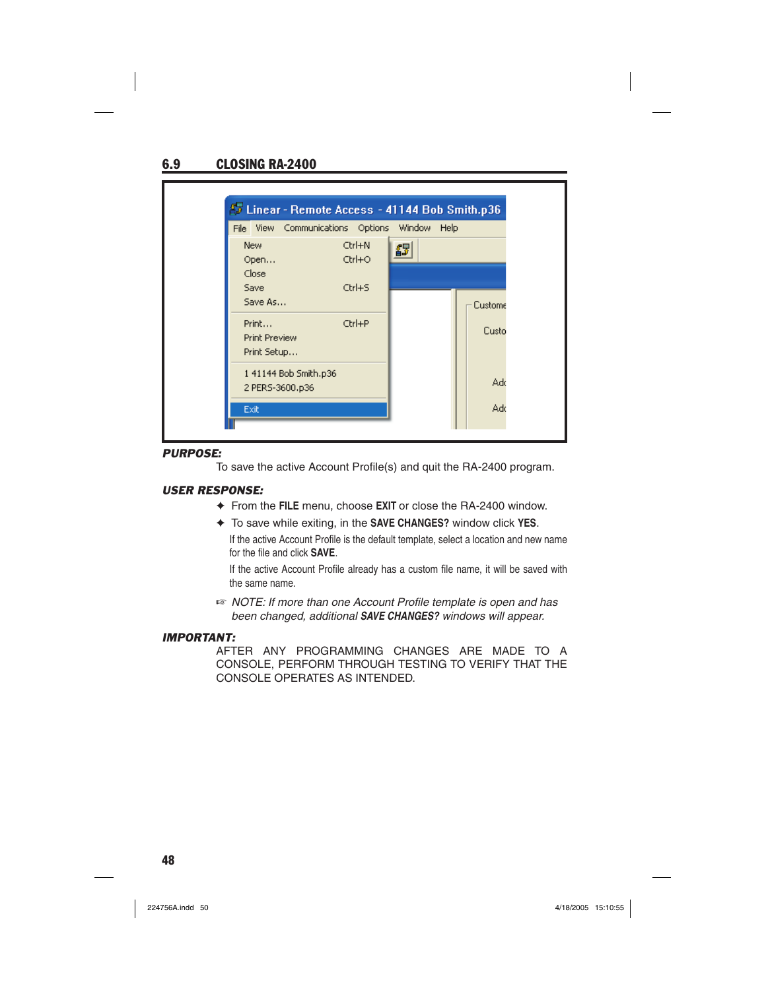## 6.9 CLOSING RA-2400

|                                              | <b>22 Linear - Remote Access - 41144 Bob Smith.p36</b> |                      |        |      |         |
|----------------------------------------------|--------------------------------------------------------|----------------------|--------|------|---------|
|                                              | File View Communications Options                       |                      | Window | Help |         |
| <b>New</b><br>Open                           |                                                        | Ctrl+N<br>$Ctrl + O$ | 43     |      |         |
| Close<br>Save<br>Save As                     |                                                        | $Ctrl + S$           |        |      | Custome |
| Print<br><b>Print Preview</b><br>Print Setup |                                                        | Ctrl+P               |        |      | Custo   |
| 2 PERS-3600.p36                              | 1 41144 Bob Smith.p36                                  |                      |        |      | Ado     |
| Exit                                         |                                                        |                      |        |      | Ado     |

#### *PURPOSE:*

To save the active Account Profile(s) and quit the RA-2400 program.

#### *USER RESPONSE:*

- ✦ From the **FILE** menu, choose **EXIT** or close the RA-2400 window.
- ✦ To save while exiting, in the **SAVE CHANGES?** window click **YES**.

If the active Account Profile is the default template, select a location and new name for the file and click **SAVE**.

If the active Account Profile already has a custom file name, it will be saved with the same name.

☞ *NOTE: If more than one Account Profi le template is open and has been changed, additional SAVE CHANGES? windows will appear.*

#### *IMPORTANT:*

AFTER ANY PROGRAMMING CHANGES ARE MADE TO A CONSOLE, PERFORM THROUGH TESTING TO VERIFY THAT THE CONSOLE OPERATES AS INTENDED.